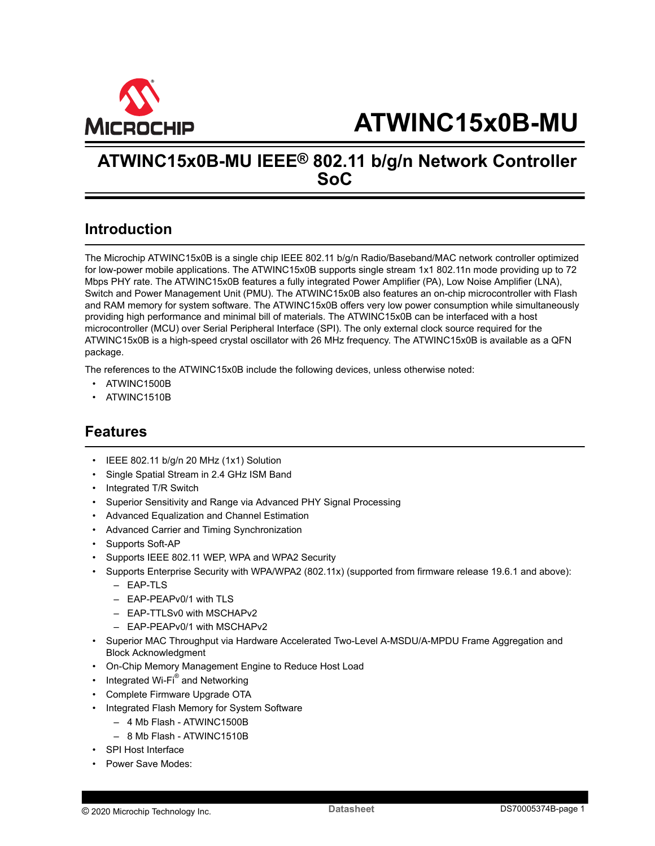<span id="page-0-0"></span>

# **ATWINC15x0B-MU IEEE® 802.11 b/g/n Network Controller SoC**

# **Introduction**

The Microchip ATWINC15x0B is a single chip IEEE 802.11 b/g/n Radio/Baseband/MAC network controller optimized for low-power mobile applications. The ATWINC15x0B supports single stream 1x1 802.11n mode providing up to 72 Mbps PHY rate. The ATWINC15x0B features a fully integrated Power Amplifier (PA), Low Noise Amplifier (LNA), Switch and Power Management Unit (PMU). The ATWINC15x0B also features an on-chip microcontroller with Flash and RAM memory for system software. The ATWINC15x0B offers very low power consumption while simultaneously providing high performance and minimal bill of materials. The ATWINC15x0B can be interfaced with a host microcontroller (MCU) over Serial Peripheral Interface (SPI). The only external clock source required for the ATWINC15x0B is a high-speed crystal oscillator with 26 MHz frequency. The ATWINC15x0B is available as a QFN package.

The references to the ATWINC15x0B include the following devices, unless otherwise noted:

- ATWINC1500B
- ATWINC1510B

# **Features**

- IEEE 802.11 b/g/n 20 MHz (1x1) Solution
- Single Spatial Stream in 2.4 GHz ISM Band
- Integrated T/R Switch
- Superior Sensitivity and Range via Advanced PHY Signal Processing
- Advanced Equalization and Channel Estimation
- Advanced Carrier and Timing Synchronization
- Supports Soft-AP
- Supports IEEE 802.11 WEP, WPA and WPA2 Security
- Supports Enterprise Security with WPA/WPA2 (802.11x) (supported from firmware release 19.6.1 and above):
	- $-$  FAP-TLS
	- FAP-PFAPv0/1 with TLS
	- EAP-TTLSv0 with MSCHAPv2
	- EAP-PEAPv0/1 with MSCHAPv2
- Superior MAC Throughput via Hardware Accelerated Two-Level A-MSDU/A-MPDU Frame Aggregation and Block Acknowledgment
- On-Chip Memory Management Engine to Reduce Host Load
- Integrated Wi-Fi $^{\circ}$  and Networking
- Complete Firmware Upgrade OTA
- Integrated Flash Memory for System Software
	- 4 Mb Flash ATWINC1500B
	- 8 Mb Flash ATWINC1510B
- SPI Host Interface
- Power Save Modes: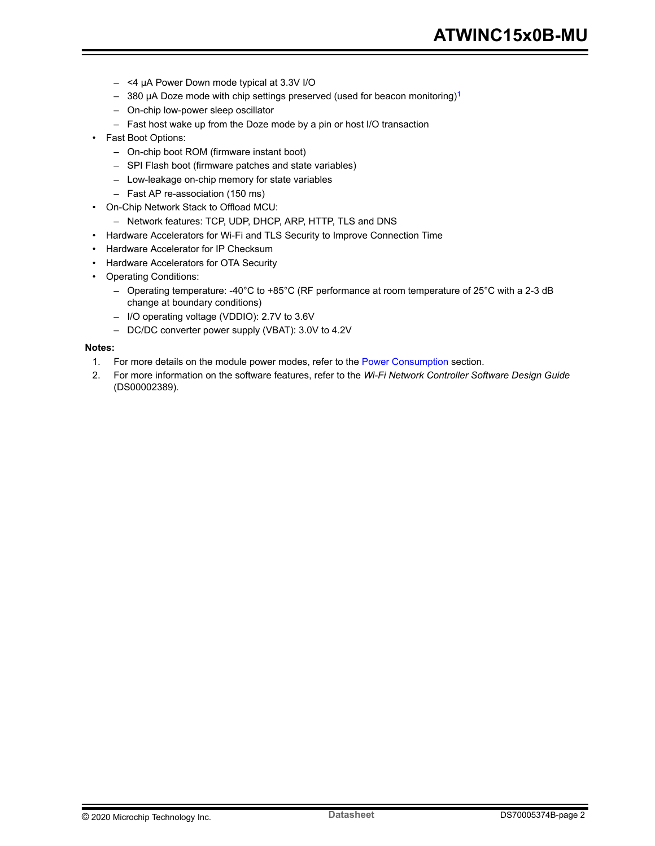- <4 µA Power Down mode typical at 3.3V I/O
- $-$  380 µA Doze mode with chip settings preserved (used for beacon monitoring)<sup>1</sup>
- On-chip low-power sleep oscillator
- Fast host wake up from the Doze mode by a pin or host I/O transaction
- Fast Boot Options:
	- On-chip boot ROM (firmware instant boot)
	- SPI Flash boot (firmware patches and state variables)
	- Low-leakage on-chip memory for state variables
	- Fast AP re-association (150 ms)
- On-Chip Network Stack to Offload MCU:
	- Network features: TCP, UDP, DHCP, ARP, HTTP, TLS and DNS
- Hardware Accelerators for Wi-Fi and TLS Security to Improve Connection Time
- Hardware Accelerator for IP Checksum
- Hardware Accelerators for OTA Security
- Operating Conditions:
	- Operating temperature: -40°C to +85°C (RF performance at room temperature of 25°C with a 2-3 dB change at boundary conditions)
	- I/O operating voltage (VDDIO): 2.7V to 3.6V
	- DC/DC converter power supply (VBAT): 3.0V to 4.2V

#### **Notes:**

- 1. For more details on the module power modes, refer to the [Power Consumption](#page-22-0) section.
- 2. For more information on the software features, refer to the *Wi-Fi Network Controller Software Design Guide* (DS00002389).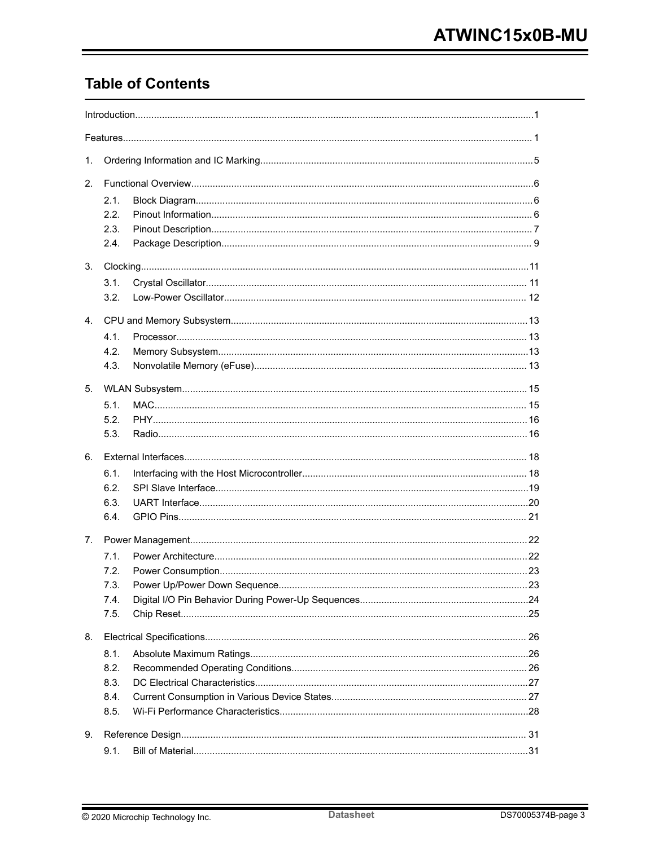# **Table of Contents**

| 1.             |              |  |  |  |  |  |
|----------------|--------------|--|--|--|--|--|
| 2.             |              |  |  |  |  |  |
|                | 2.1.         |  |  |  |  |  |
|                | 2.2.         |  |  |  |  |  |
|                | 2.3.         |  |  |  |  |  |
|                | 2.4.         |  |  |  |  |  |
| 3.             |              |  |  |  |  |  |
|                | 3.1.         |  |  |  |  |  |
|                | 3.2.         |  |  |  |  |  |
| 4 <sub>1</sub> |              |  |  |  |  |  |
|                | 4.1.         |  |  |  |  |  |
|                | 4.2.         |  |  |  |  |  |
|                | 4.3.         |  |  |  |  |  |
| 5.             |              |  |  |  |  |  |
|                |              |  |  |  |  |  |
|                | 5.1.<br>5.2. |  |  |  |  |  |
|                | 5.3.         |  |  |  |  |  |
|                |              |  |  |  |  |  |
| 6.             |              |  |  |  |  |  |
|                | 6.1.         |  |  |  |  |  |
|                | 6.2.         |  |  |  |  |  |
|                | 6.3.<br>6.4. |  |  |  |  |  |
|                |              |  |  |  |  |  |
| $7_{\cdot}$    |              |  |  |  |  |  |
|                | 7.1.         |  |  |  |  |  |
|                | 7.2.         |  |  |  |  |  |
|                | 7.3.         |  |  |  |  |  |
|                | 7.4.         |  |  |  |  |  |
|                | 7.5.         |  |  |  |  |  |
| 8.             |              |  |  |  |  |  |
|                | 8.1.         |  |  |  |  |  |
|                | 8.2.         |  |  |  |  |  |
|                | 8.3.         |  |  |  |  |  |
|                | 8.4.         |  |  |  |  |  |
|                | 8.5.         |  |  |  |  |  |
| 9.             |              |  |  |  |  |  |
|                | 9.1.         |  |  |  |  |  |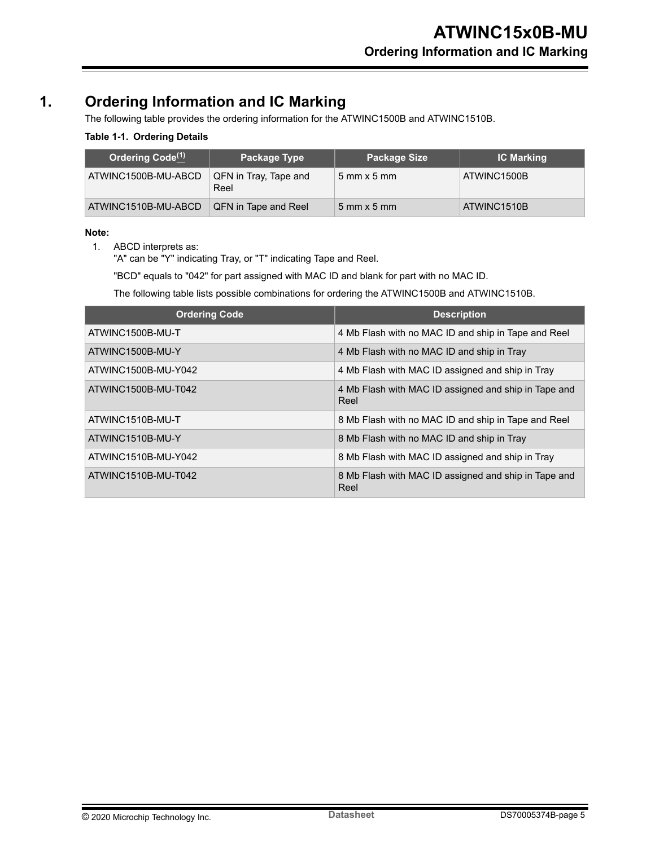# <span id="page-4-0"></span>**1. Ordering Information and IC Marking**

The following table provides the ordering information for the ATWINC1500B and ATWINC1510B.

#### **Table 1-1. Ordering Details**

| Ordering Code <sup>(1)</sup> |                               | <b>Package Size</b>                | <b>IC Marking</b> |
|------------------------------|-------------------------------|------------------------------------|-------------------|
| ATWINC1500B-MU-ABCD          | QFN in Tray, Tape and<br>Reel | $5 \text{ mm} \times 5 \text{ mm}$ | ATWINC1500B       |
| ATWINC1510B-MU-ABCD          | QFN in Tape and Reel          | $5 \text{ mm} \times 5 \text{ mm}$ | ATWINC1510B       |

#### **Note:**

1. ABCD interprets as:

"A" can be "Y" indicating Tray, or "T" indicating Tape and Reel.

"BCD" equals to "042" for part assigned with MAC ID and blank for part with no MAC ID.

The following table lists possible combinations for ordering the ATWINC1500B and ATWINC1510B.

| <b>Ordering Code</b> | <b>Description</b>                                           |
|----------------------|--------------------------------------------------------------|
| ATWINC1500B-MU-T     | 4 Mb Flash with no MAC ID and ship in Tape and Reel          |
| ATWINC1500B-MU-Y     | 4 Mb Flash with no MAC ID and ship in Tray                   |
| ATWINC1500B-MU-Y042  | 4 Mb Flash with MAC ID assigned and ship in Tray             |
| ATWINC1500B-MU-T042  | 4 Mb Flash with MAC ID assigned and ship in Tape and<br>Reel |
| ATWINC1510B-MU-T     | 8 Mb Flash with no MAC ID and ship in Tape and Reel          |
| ATWINC1510B-MU-Y     | 8 Mb Flash with no MAC ID and ship in Tray                   |
| ATWINC1510B-MU-Y042  | 8 Mb Flash with MAC ID assigned and ship in Tray             |
| ATWINC1510B-MU-T042  | 8 Mb Flash with MAC ID assigned and ship in Tape and<br>Reel |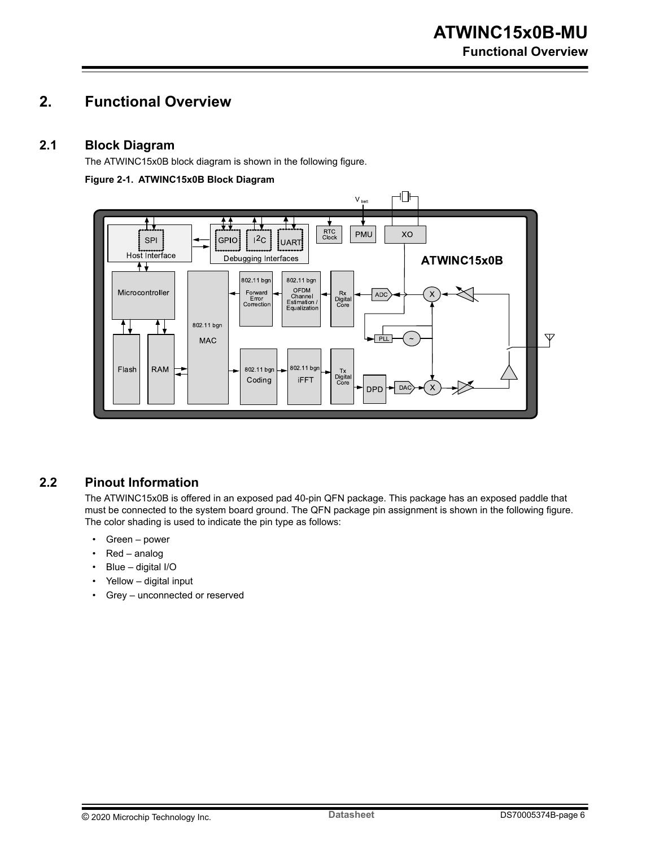# <span id="page-5-0"></span>**2. Functional Overview**

#### **2.1 Block Diagram**

The ATWINC15x0B block diagram is shown in the following figure.

#### **Figure 2-1. ATWINC15x0B Block Diagram**



### **2.2 Pinout Information**

The ATWINC15x0B is offered in an exposed pad 40-pin QFN package. This package has an exposed paddle that must be connected to the system board ground. The QFN package pin assignment is shown in the following figure. The color shading is used to indicate the pin type as follows:

- Green power
- Red analog
- Blue digital I/O
- Yellow digital input
- Grey unconnected or reserved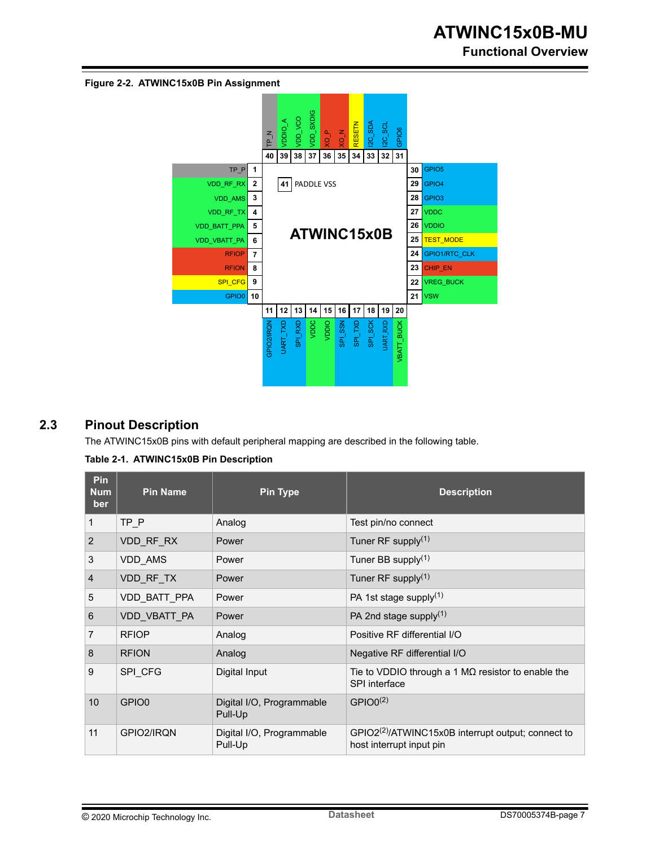<span id="page-6-0"></span>**Figure 2-2. ATWINC15x0B Pin Assignment**



## **2.3 Pinout Description**

The ATWINC15x0B pins with default peripheral mapping are described in the following table.

| Table 2-1. ATWINC15x0B Pin Description |  |
|----------------------------------------|--|
|----------------------------------------|--|

| Pin<br><b>Num</b><br>ber | <b>Pin Name</b>   | <b>Pin Type</b>                      | <b>Description</b>                                                                         |
|--------------------------|-------------------|--------------------------------------|--------------------------------------------------------------------------------------------|
| $\mathbf{1}$             | TP P              | Analog                               | Test pin/no connect                                                                        |
| 2                        | VDD RF RX         | Power                                | Tuner RF supply $(1)$                                                                      |
| 3                        | <b>VDD AMS</b>    | Power                                | Tuner BB supply $(1)$                                                                      |
| 4                        | VDD RF TX         | Power                                | Tuner RF supply $(1)$                                                                      |
| 5                        | VDD BATT PPA      | Power                                | PA 1st stage supply $(1)$                                                                  |
| 6                        | VDD VBATT PA      | Power                                | PA 2nd stage supply $(1)$                                                                  |
| 7                        | <b>RFIOP</b>      | Analog                               | Positive RF differential I/O                                                               |
| 8                        | <b>RFION</b>      | Analog                               | Negative RF differential I/O                                                               |
| 9                        | SPI_CFG           | Digital Input                        | Tie to VDDIO through a 1 $\text{M}\Omega$ resistor to enable the<br>SPI interface          |
| 10                       | GPIO <sub>0</sub> | Digital I/O, Programmable<br>Pull-Up | $GPIO0^{(2)}$                                                                              |
| 11                       | GPIO2/IRQN        | Digital I/O, Programmable<br>Pull-Up | GPIO2 <sup>(2)</sup> /ATWINC15x0B interrupt output; connect to<br>host interrupt input pin |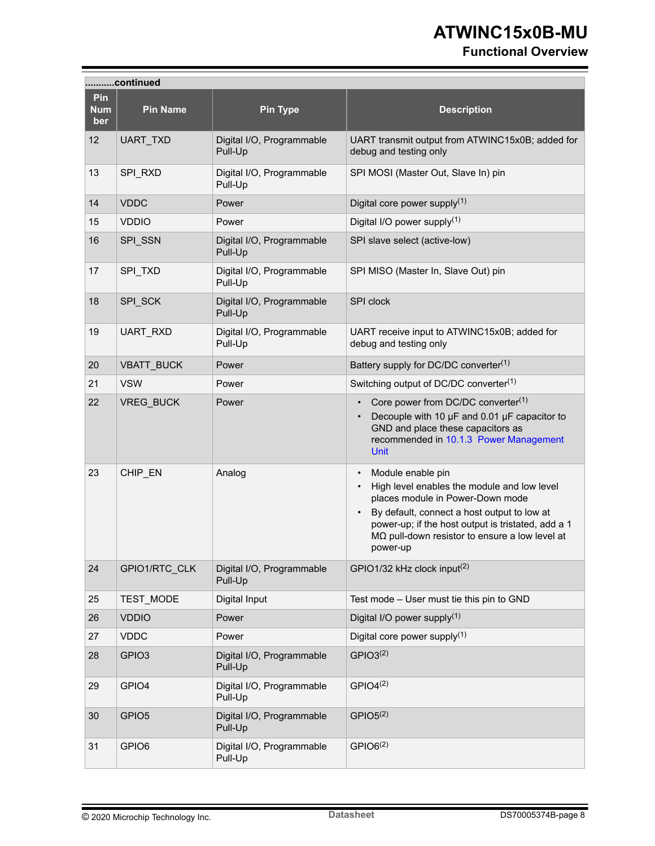# **Functional Overview**

|                          | continued         |                                      |                                                                                                                                                                                                                                                                                             |  |  |  |
|--------------------------|-------------------|--------------------------------------|---------------------------------------------------------------------------------------------------------------------------------------------------------------------------------------------------------------------------------------------------------------------------------------------|--|--|--|
| Pin<br><b>Num</b><br>ber | <b>Pin Name</b>   | <b>Pin Type</b>                      | <b>Description</b>                                                                                                                                                                                                                                                                          |  |  |  |
| 12                       | UART_TXD          | Digital I/O, Programmable<br>Pull-Up | UART transmit output from ATWINC15x0B; added for<br>debug and testing only                                                                                                                                                                                                                  |  |  |  |
| 13                       | SPI RXD           | Digital I/O, Programmable<br>Pull-Up | SPI MOSI (Master Out, Slave In) pin                                                                                                                                                                                                                                                         |  |  |  |
| 14                       | <b>VDDC</b>       | Power                                | Digital core power supply $(1)$                                                                                                                                                                                                                                                             |  |  |  |
| 15                       | <b>VDDIO</b>      | Power                                | Digital I/O power supply $(1)$                                                                                                                                                                                                                                                              |  |  |  |
| 16                       | SPI_SSN           | Digital I/O, Programmable<br>Pull-Up | SPI slave select (active-low)                                                                                                                                                                                                                                                               |  |  |  |
| 17                       | SPI_TXD           | Digital I/O, Programmable<br>Pull-Up | SPI MISO (Master In, Slave Out) pin                                                                                                                                                                                                                                                         |  |  |  |
| 18                       | SPI_SCK           | Digital I/O, Programmable<br>Pull-Up | SPI clock                                                                                                                                                                                                                                                                                   |  |  |  |
| 19                       | UART_RXD          | Digital I/O, Programmable<br>Pull-Up | UART receive input to ATWINC15x0B; added for<br>debug and testing only                                                                                                                                                                                                                      |  |  |  |
| 20                       | VBATT_BUCK        | Power                                | Battery supply for DC/DC converter <sup>(1)</sup>                                                                                                                                                                                                                                           |  |  |  |
| 21                       | <b>VSW</b>        | Power                                | Switching output of DC/DC converter <sup>(1)</sup>                                                                                                                                                                                                                                          |  |  |  |
| 22                       | VREG_BUCK         | Power                                | Core power from DC/DC converter(1)<br>Decouple with 10 µF and 0.01 µF capacitor to<br>GND and place these capacitors as<br>recommended in 10.1.3 Power Management<br><b>Unit</b>                                                                                                            |  |  |  |
| 23                       | CHIP_EN           | Analog                               | Module enable pin<br>$\bullet$<br>High level enables the module and low level<br>places module in Power-Down mode<br>By default, connect a host output to low at<br>power-up; if the host output is tristated, add a 1<br>$M\Omega$ pull-down resistor to ensure a low level at<br>power-up |  |  |  |
| 24                       | GPIO1/RTC CLK     | Digital I/O, Programmable<br>Pull-Up | GPIO1/32 kHz clock input <sup>(2)</sup>                                                                                                                                                                                                                                                     |  |  |  |
| 25                       | TEST_MODE         | Digital Input                        | Test mode - User must tie this pin to GND                                                                                                                                                                                                                                                   |  |  |  |
| 26                       | <b>VDDIO</b>      | Power                                | Digital I/O power supply $(1)$                                                                                                                                                                                                                                                              |  |  |  |
| 27                       | <b>VDDC</b>       | Power                                | Digital core power supply $(1)$                                                                                                                                                                                                                                                             |  |  |  |
| 28                       | GPIO <sub>3</sub> | Digital I/O, Programmable<br>Pull-Up | GPIO3 <sup>(2)</sup>                                                                                                                                                                                                                                                                        |  |  |  |
| 29                       | GPIO4             | Digital I/O, Programmable<br>Pull-Up | GPIO4 <sup>(2)</sup>                                                                                                                                                                                                                                                                        |  |  |  |
| 30                       | GPIO <sub>5</sub> | Digital I/O, Programmable<br>Pull-Up | GPIO5 <sup>(2)</sup>                                                                                                                                                                                                                                                                        |  |  |  |
| 31                       | GPIO6             | Digital I/O, Programmable<br>Pull-Up | GPIO6 <sup>(2)</sup>                                                                                                                                                                                                                                                                        |  |  |  |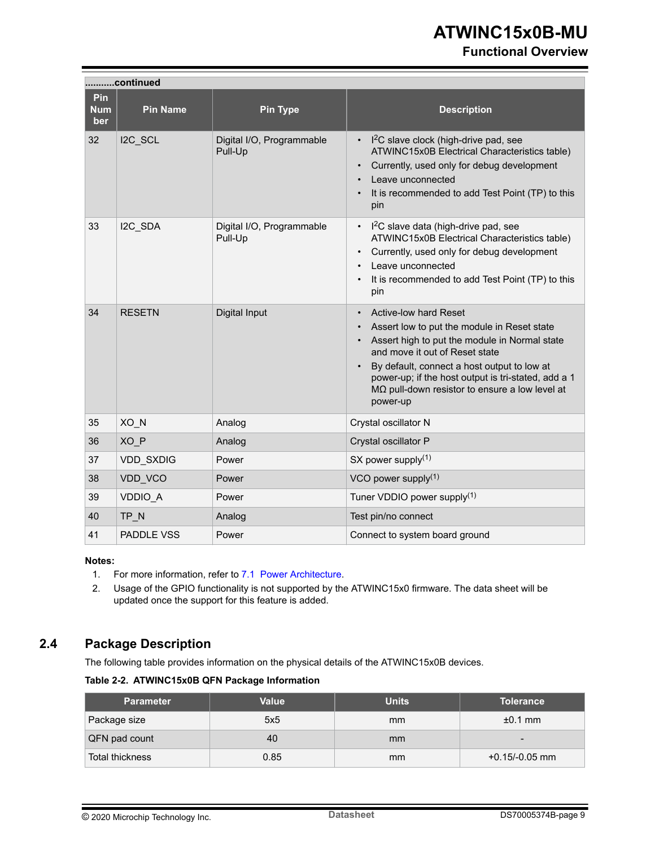#### **Functional Overview**

<span id="page-8-0"></span>

|                          | continued         |                                      |                                                                                                                                                                                                                                                                                                                                           |  |  |  |
|--------------------------|-------------------|--------------------------------------|-------------------------------------------------------------------------------------------------------------------------------------------------------------------------------------------------------------------------------------------------------------------------------------------------------------------------------------------|--|--|--|
| Pin<br><b>Num</b><br>ber | <b>Pin Name</b>   | <b>Pin Type</b>                      | <b>Description</b>                                                                                                                                                                                                                                                                                                                        |  |  |  |
| 32                       | I2C SCL           | Digital I/O, Programmable<br>Pull-Up | I <sup>2</sup> C slave clock (high-drive pad, see<br>ATWINC15x0B Electrical Characteristics table)<br>Currently, used only for debug development<br>Leave unconnected<br>It is recommended to add Test Point (TP) to this<br>pin                                                                                                          |  |  |  |
| 33                       | I2C SDA           | Digital I/O, Programmable<br>Pull-Up | $12C$ slave data (high-drive pad, see<br>ATWINC15x0B Electrical Characteristics table)<br>Currently, used only for debug development<br>$\bullet$<br>Leave unconnected<br>It is recommended to add Test Point (TP) to this<br>pin                                                                                                         |  |  |  |
| 34                       | <b>RESETN</b>     | Digital Input                        | <b>Active-low hard Reset</b><br>Assert low to put the module in Reset state<br>Assert high to put the module in Normal state<br>and move it out of Reset state<br>By default, connect a host output to low at<br>power-up; if the host output is tri-stated, add a 1<br>$M\Omega$ pull-down resistor to ensure a low level at<br>power-up |  |  |  |
| 35                       | XO_N              | Analog                               | Crystal oscillator N                                                                                                                                                                                                                                                                                                                      |  |  |  |
| 36                       | XO P              | Analog                               | Crystal oscillator P                                                                                                                                                                                                                                                                                                                      |  |  |  |
| 37                       | <b>VDD SXDIG</b>  | Power                                | SX power supply $(1)$                                                                                                                                                                                                                                                                                                                     |  |  |  |
| 38                       | VDD VCO           | Power                                | VCO power supply(1)                                                                                                                                                                                                                                                                                                                       |  |  |  |
| 39                       | <b>VDDIO A</b>    | Power                                | Tuner VDDIO power supply <sup>(1)</sup>                                                                                                                                                                                                                                                                                                   |  |  |  |
| 40                       | TP N              | Analog                               | Test pin/no connect                                                                                                                                                                                                                                                                                                                       |  |  |  |
| 41                       | <b>PADDLE VSS</b> | Power                                | Connect to system board ground                                                                                                                                                                                                                                                                                                            |  |  |  |

#### **Notes:**

- 1. For more information, refer to [7.1 Power Architecture](#page-21-0).
- 2. Usage of the GPIO functionality is not supported by the ATWINC15x0 firmware. The data sheet will be updated once the support for this feature is added.

# **2.4 Package Description**

The following table provides information on the physical details of the ATWINC15x0B devices.

#### **Table 2-2. ATWINC15x0B QFN Package Information**

| <b>Parameter</b>       | Value | <b>Units</b> | <b>Tolerance</b>         |
|------------------------|-------|--------------|--------------------------|
| Package size           | 5x5   | mm           | $±0.1$ mm                |
| QFN pad count          | 40    | mm           | $\overline{\phantom{0}}$ |
| <b>Total thickness</b> | 0.85  | mm           | $+0.15/-0.05$ mm         |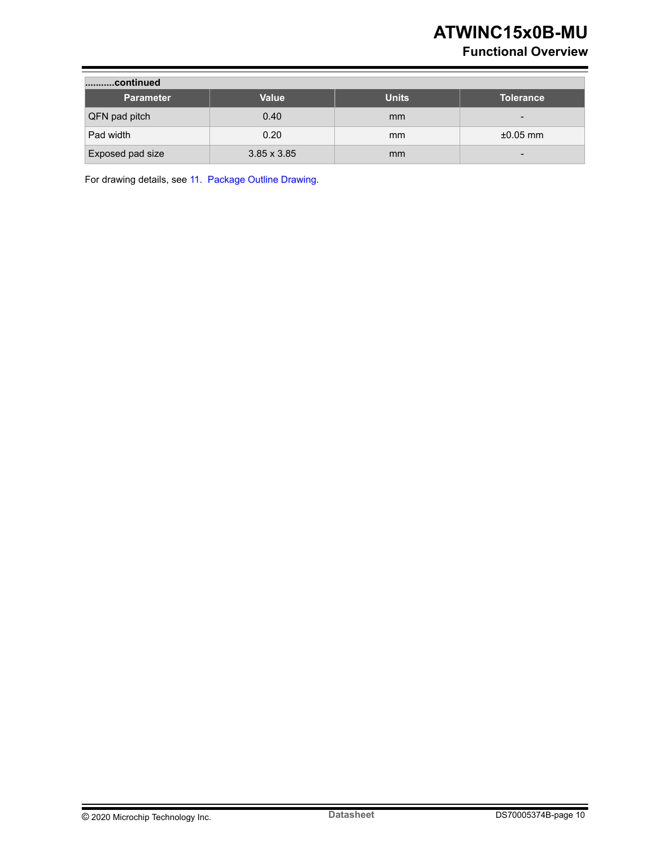# **Functional Overview**

| continued        |                    |               |                  |  |  |  |
|------------------|--------------------|---------------|------------------|--|--|--|
| <b>Parameter</b> | Value              | <b>Units</b>  | <b>Tolerance</b> |  |  |  |
| QFN pad pitch    | 0.40               | <sub>mm</sub> | $\qquad \qquad$  |  |  |  |
| Pad width        | 0.20               | <sub>mm</sub> | $\pm 0.05$ mm    |  |  |  |
| Exposed pad size | $3.85 \times 3.85$ | mm            |                  |  |  |  |

For drawing details, see [11. Package Outline Drawing.](#page-37-0)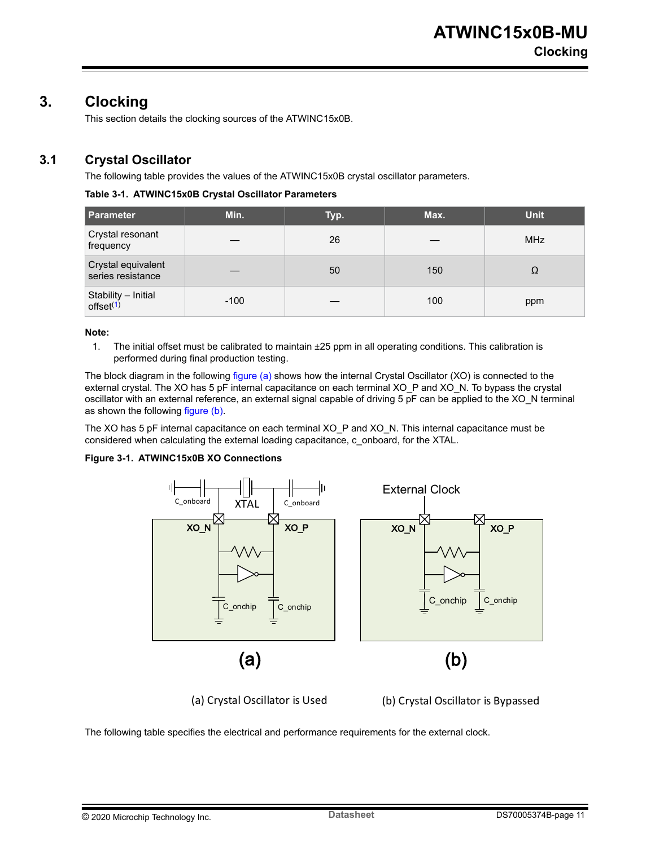# <span id="page-10-0"></span>**3. Clocking**

This section details the clocking sources of the ATWINC15x0B.

### **3.1 Crystal Oscillator**

The following table provides the values of the ATWINC15x0B crystal oscillator parameters.

#### **Table 3-1. ATWINC15x0B Crystal Oscillator Parameters**

| <b>Parameter</b>                             | Min.   | Typ. | Max. | <b>Unit</b> |
|----------------------------------------------|--------|------|------|-------------|
| Crystal resonant<br>frequency                |        | 26   |      | <b>MHz</b>  |
| Crystal equivalent<br>series resistance      |        | 50   | 150  | Ω           |
| Stability – Initial<br>offset <sup>(1)</sup> | $-100$ |      | 100  | ppm         |

#### **Note:**

1. The initial offset must be calibrated to maintain ±25 ppm in all operating conditions. This calibration is performed during final production testing.

The block diagram in the following figure (a) shows how the internal Crystal Oscillator (XO) is connected to the external crystal. The XO has 5 pF internal capacitance on each terminal XO\_P and XO\_N. To bypass the crystal oscillator with an external reference, an external signal capable of driving 5 pF can be applied to the XO\_N terminal as shown the following figure (b).

The XO has 5 pF internal capacitance on each terminal XO\_P and XO\_N. This internal capacitance must be considered when calculating the external loading capacitance, c\_onboard, for the XTAL.

#### **Figure 3-1. ATWINC15x0B XO Connections**



(a) Crystal Oscillator is Used (b) Crystal Oscillator is Bypassed

The following table specifies the electrical and performance requirements for the external clock.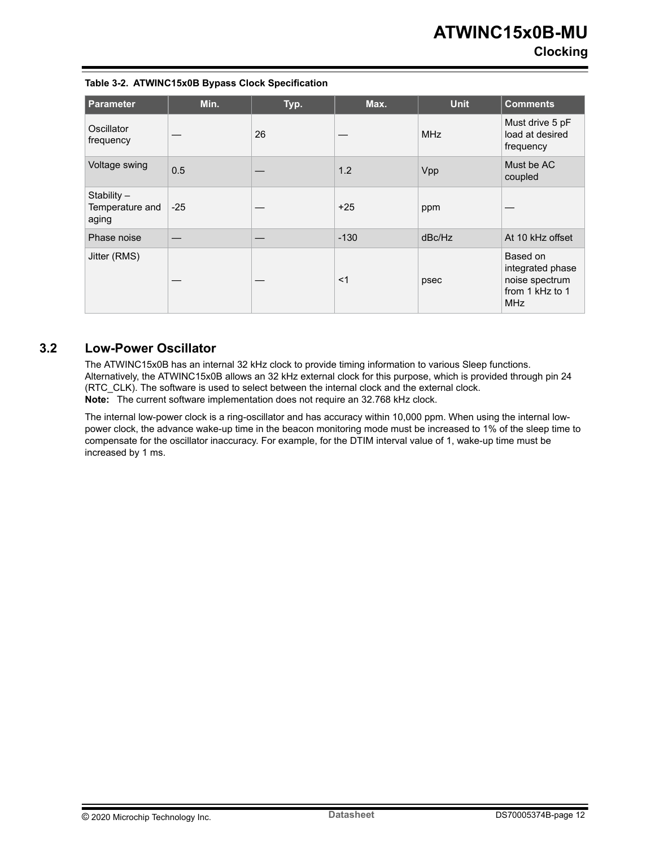### **Clocking**

#### <span id="page-11-0"></span>**Table 3-2. ATWINC15x0B Bypass Clock Specification**

| <b>Parameter</b>                        | Min.  | Typ. | Max.   | <b>Unit</b> | <b>Comments</b>                                                                 |
|-----------------------------------------|-------|------|--------|-------------|---------------------------------------------------------------------------------|
| Oscillator<br>frequency                 |       | 26   |        | <b>MHz</b>  | Must drive 5 pF<br>load at desired<br>frequency                                 |
| Voltage swing                           | 0.5   |      | 1.2    | Vpp         | Must be AC<br>coupled                                                           |
| Stability -<br>Temperature and<br>aging | $-25$ |      | $+25$  | ppm         |                                                                                 |
| Phase noise                             |       |      | $-130$ | dBc/Hz      | At 10 kHz offset                                                                |
| Jitter (RMS)                            |       |      | $<$ 1  | psec        | Based on<br>integrated phase<br>noise spectrum<br>from 1 kHz to 1<br><b>MHz</b> |

#### **3.2 Low-Power Oscillator**

The ATWINC15x0B has an internal 32 kHz clock to provide timing information to various Sleep functions. Alternatively, the ATWINC15x0B allows an 32 kHz external clock for this purpose, which is provided through pin 24 (RTC\_CLK). The software is used to select between the internal clock and the external clock. **Note:**  The current software implementation does not require an 32.768 kHz clock.

The internal low-power clock is a ring-oscillator and has accuracy within 10,000 ppm. When using the internal lowpower clock, the advance wake-up time in the beacon monitoring mode must be increased to 1% of the sleep time to compensate for the oscillator inaccuracy. For example, for the DTIM interval value of 1, wake-up time must be increased by 1 ms.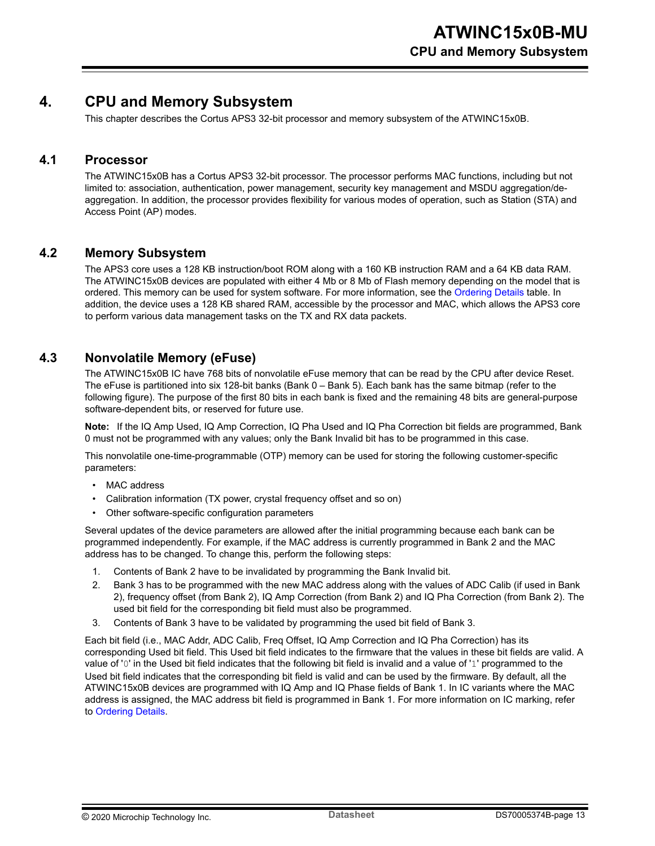# <span id="page-12-0"></span>**4. CPU and Memory Subsystem**

This chapter describes the Cortus APS3 32-bit processor and memory subsystem of the ATWINC15x0B.

#### **4.1 Processor**

The ATWINC15x0B has a Cortus APS3 32-bit processor. The processor performs MAC functions, including but not limited to: association, authentication, power management, security key management and MSDU aggregation/deaggregation. In addition, the processor provides flexibility for various modes of operation, such as Station (STA) and Access Point (AP) modes.

#### **4.2 Memory Subsystem**

The APS3 core uses a 128 KB instruction/boot ROM along with a 160 KB instruction RAM and a 64 KB data RAM. The ATWINC15x0B devices are populated with either 4 Mb or 8 Mb of Flash memory depending on the model that is ordered. This memory can be used for system software. For more information, see the [Ordering Details](#page-4-0) table. In addition, the device uses a 128 KB shared RAM, accessible by the processor and MAC, which allows the APS3 core to perform various data management tasks on the TX and RX data packets.

#### **4.3 Nonvolatile Memory (eFuse)**

The ATWINC15x0B IC have 768 bits of nonvolatile eFuse memory that can be read by the CPU after device Reset. The eFuse is partitioned into six 128-bit banks (Bank 0 – Bank 5). Each bank has the same bitmap (refer to the following figure). The purpose of the first 80 bits in each bank is fixed and the remaining 48 bits are general-purpose software-dependent bits, or reserved for future use.

**Note:**  If the IQ Amp Used, IQ Amp Correction, IQ Pha Used and IQ Pha Correction bit fields are programmed, Bank 0 must not be programmed with any values; only the Bank Invalid bit has to be programmed in this case.

This nonvolatile one-time-programmable (OTP) memory can be used for storing the following customer-specific parameters:

- MAC address
- Calibration information (TX power, crystal frequency offset and so on)
- Other software-specific configuration parameters

Several updates of the device parameters are allowed after the initial programming because each bank can be programmed independently. For example, if the MAC address is currently programmed in Bank 2 and the MAC address has to be changed. To change this, perform the following steps:

- 1. Contents of Bank 2 have to be invalidated by programming the Bank Invalid bit.
- 2. Bank 3 has to be programmed with the new MAC address along with the values of ADC Calib (if used in Bank 2), frequency offset (from Bank 2), IQ Amp Correction (from Bank 2) and IQ Pha Correction (from Bank 2). The used bit field for the corresponding bit field must also be programmed.
- 3. Contents of Bank 3 have to be validated by programming the used bit field of Bank 3.

Each bit field (i.e., MAC Addr, ADC Calib, Freq Offset, IQ Amp Correction and IQ Pha Correction) has its corresponding Used bit field. This Used bit field indicates to the firmware that the values in these bit fields are valid. A value of '0' in the Used bit field indicates that the following bit field is invalid and a value of '1' programmed to the Used bit field indicates that the corresponding bit field is valid and can be used by the firmware. By default, all the ATWINC15x0B devices are programmed with IQ Amp and IQ Phase fields of Bank 1. In IC variants where the MAC address is assigned, the MAC address bit field is programmed in Bank 1. For more information on IC marking, refer to [Ordering Details](#page-4-0).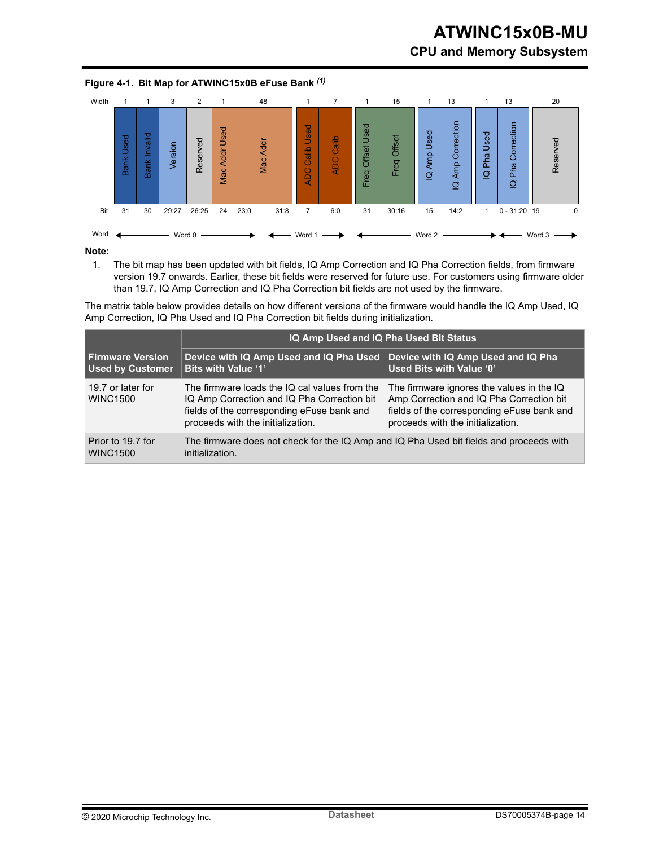# **ATWINC15x0B-MU CPU and Memory Subsystem**

 $\Omega$ 

÷



#### **Figure 4-1. Bit Map for ATWINC15x0B eFuse Bank** *(1)*

#### **Note:**

1. The bit map has been updated with bit fields, IQ Amp Correction and IQ Pha Correction fields, from firmware version 19.7 onwards. Earlier, these bit fields were reserved for future use. For customers using firmware older than 19.7, IQ Amp Correction and IQ Pha Correction bit fields are not used by the firmware.

The matrix table below provides details on how different versions of the firmware would handle the IQ Amp Used, IQ Amp Correction, IQ Pha Used and IQ Pha Correction bit fields during initialization.

|                                               | IQ Amp Used and IQ Pha Used Bit Status                                                                                                                                          |                                                                                                                                                                          |  |  |  |  |
|-----------------------------------------------|---------------------------------------------------------------------------------------------------------------------------------------------------------------------------------|--------------------------------------------------------------------------------------------------------------------------------------------------------------------------|--|--|--|--|
| l Firmware Version<br><b>Used by Customer</b> | Device with IQ Amp Used and IQ Pha Used<br><b>Bits with Value '1'</b>                                                                                                           | Device with IQ Amp Used and IQ Pha<br>Used Bits with Value '0'                                                                                                           |  |  |  |  |
| 19.7 or later for<br><b>WINC1500</b>          | The firmware loads the IQ cal values from the<br>IQ Amp Correction and IQ Pha Correction bit<br>fields of the corresponding eFuse bank and<br>proceeds with the initialization. | The firmware ignores the values in the IQ<br>Amp Correction and IQ Pha Correction bit<br>fields of the corresponding eFuse bank and<br>proceeds with the initialization. |  |  |  |  |
| Prior to 19.7 for<br><b>WINC1500</b>          | The firmware does not check for the IQ Amp and IQ Pha Used bit fields and proceeds with<br>initialization.                                                                      |                                                                                                                                                                          |  |  |  |  |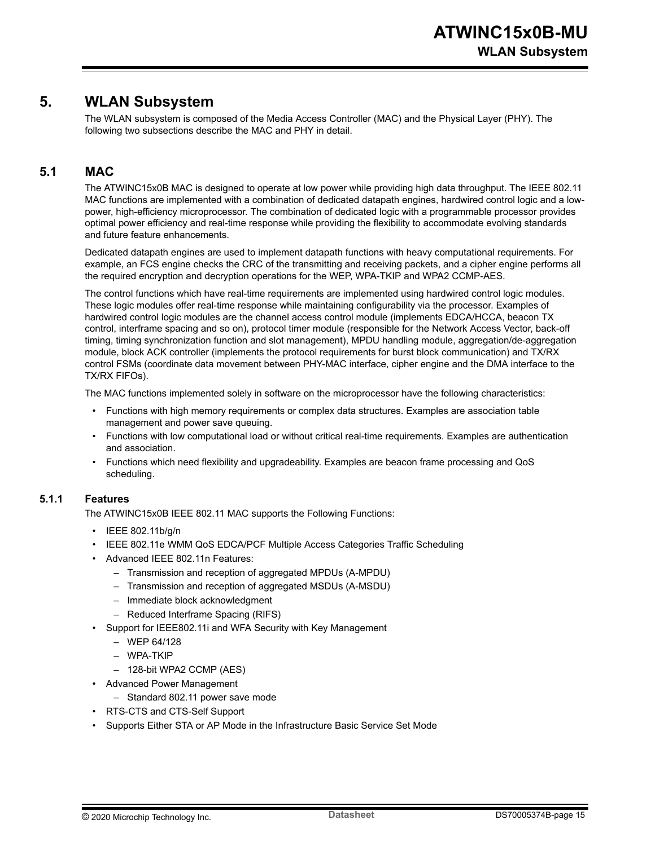# <span id="page-14-0"></span>**5. WLAN Subsystem**

The WLAN subsystem is composed of the Media Access Controller (MAC) and the Physical Layer (PHY). The following two subsections describe the MAC and PHY in detail.

### **5.1 MAC**

The ATWINC15x0B MAC is designed to operate at low power while providing high data throughput. The IEEE 802.11 MAC functions are implemented with a combination of dedicated datapath engines, hardwired control logic and a lowpower, high-efficiency microprocessor. The combination of dedicated logic with a programmable processor provides optimal power efficiency and real-time response while providing the flexibility to accommodate evolving standards and future feature enhancements.

Dedicated datapath engines are used to implement datapath functions with heavy computational requirements. For example, an FCS engine checks the CRC of the transmitting and receiving packets, and a cipher engine performs all the required encryption and decryption operations for the WEP, WPA-TKIP and WPA2 CCMP-AES.

The control functions which have real-time requirements are implemented using hardwired control logic modules. These logic modules offer real-time response while maintaining configurability via the processor. Examples of hardwired control logic modules are the channel access control module (implements EDCA/HCCA, beacon TX control, interframe spacing and so on), protocol timer module (responsible for the Network Access Vector, back-off timing, timing synchronization function and slot management), MPDU handling module, aggregation/de-aggregation module, block ACK controller (implements the protocol requirements for burst block communication) and TX/RX control FSMs (coordinate data movement between PHY-MAC interface, cipher engine and the DMA interface to the TX/RX FIFOs).

The MAC functions implemented solely in software on the microprocessor have the following characteristics:

- Functions with high memory requirements or complex data structures. Examples are association table management and power save queuing.
- Functions with low computational load or without critical real-time requirements. Examples are authentication and association.
- Functions which need flexibility and upgradeability. Examples are beacon frame processing and QoS scheduling.

#### **5.1.1 Features**

The ATWINC15x0B IEEE 802.11 MAC supports the Following Functions:

- IEEE 802.11b/g/n
- IEEE 802.11e WMM QoS EDCA/PCF Multiple Access Categories Traffic Scheduling
- Advanced IEEE 802.11n Features:
	- Transmission and reception of aggregated MPDUs (A-MPDU)
	- Transmission and reception of aggregated MSDUs (A-MSDU)
	- Immediate block acknowledgment
	- Reduced Interframe Spacing (RIFS)
- Support for IEEE802.11i and WFA Security with Key Management
	- WEP 64/128
	- WPA-TKIP
	- 128-bit WPA2 CCMP (AES)
- Advanced Power Management
	- Standard 802.11 power save mode
- RTS-CTS and CTS-Self Support
- Supports Either STA or AP Mode in the Infrastructure Basic Service Set Mode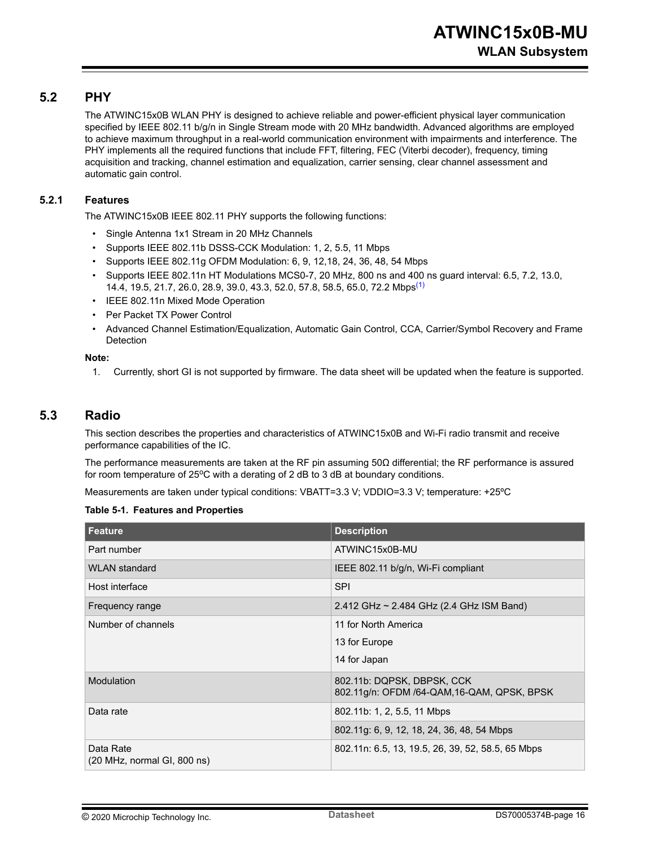#### <span id="page-15-0"></span>**5.2 PHY**

The ATWINC15x0B WLAN PHY is designed to achieve reliable and power-efficient physical layer communication specified by IEEE 802.11 b/g/n in Single Stream mode with 20 MHz bandwidth. Advanced algorithms are employed to achieve maximum throughput in a real-world communication environment with impairments and interference. The PHY implements all the required functions that include FFT, filtering, FEC (Viterbi decoder), frequency, timing acquisition and tracking, channel estimation and equalization, carrier sensing, clear channel assessment and automatic gain control.

#### **5.2.1 Features**

The ATWINC15x0B IEEE 802.11 PHY supports the following functions:

- Single Antenna 1x1 Stream in 20 MHz Channels
- Supports IEEE 802.11b DSSS-CCK Modulation: 1, 2, 5.5, 11 Mbps
- Supports IEEE 802.11g OFDM Modulation: 6, 9, 12,18, 24, 36, 48, 54 Mbps
- Supports IEEE 802.11n HT Modulations MCS0-7, 20 MHz, 800 ns and 400 ns guard interval: 6.5, 7.2, 13.0, 14.4, 19.5, 21.7, 26.0, 28.9, 39.0, 43.3, 52.0, 57.8, 58.5, 65.0, 72.2 Mbps(1)
- IEEE 802.11n Mixed Mode Operation
- Per Packet TX Power Control
- Advanced Channel Estimation/Equalization, Automatic Gain Control, CCA, Carrier/Symbol Recovery and Frame **Detection**

#### **Note:**

1. Currently, short GI is not supported by firmware. The data sheet will be updated when the feature is supported.

#### **5.3 Radio**

This section describes the properties and characteristics of ATWINC15x0B and Wi-Fi radio transmit and receive performance capabilities of the IC.

The performance measurements are taken at the RF pin assuming 50Ω differential; the RF performance is assured for room temperature of  $25^{\circ}$ C with a derating of 2 dB to 3 dB at boundary conditions.

Measurements are taken under typical conditions: VBATT=3.3 V; VDDIO=3.3 V; temperature: +25°C

#### **Table 5-1. Features and Properties**

| Feature                                                            | <b>Description</b>                                                        |
|--------------------------------------------------------------------|---------------------------------------------------------------------------|
| Part number                                                        | ATWINC15x0B-MU                                                            |
| WI AN standard                                                     | IEEE 802.11 b/g/n, Wi-Fi compliant                                        |
| Host interface                                                     | <b>SPI</b>                                                                |
| Frequency range                                                    | 2.412 GHz ~ 2.484 GHz (2.4 GHz ISM Band)                                  |
| Number of channels                                                 | 11 for North America                                                      |
|                                                                    | 13 for Europe                                                             |
|                                                                    | 14 for Japan                                                              |
| Modulation                                                         | 802.11b: DQPSK, DBPSK, CCK<br>802.11g/n: OFDM /64-QAM, 16-QAM, QPSK, BPSK |
| Data rate                                                          | 802.11b: 1, 2, 5.5, 11 Mbps                                               |
|                                                                    | 802.11g: 6, 9, 12, 18, 24, 36, 48, 54 Mbps                                |
| Data Rate<br>$(20 \text{ MHz}, \text{normal } Gl, 800 \text{ ns})$ | 802.11n: 6.5, 13, 19.5, 26, 39, 52, 58.5, 65 Mbps                         |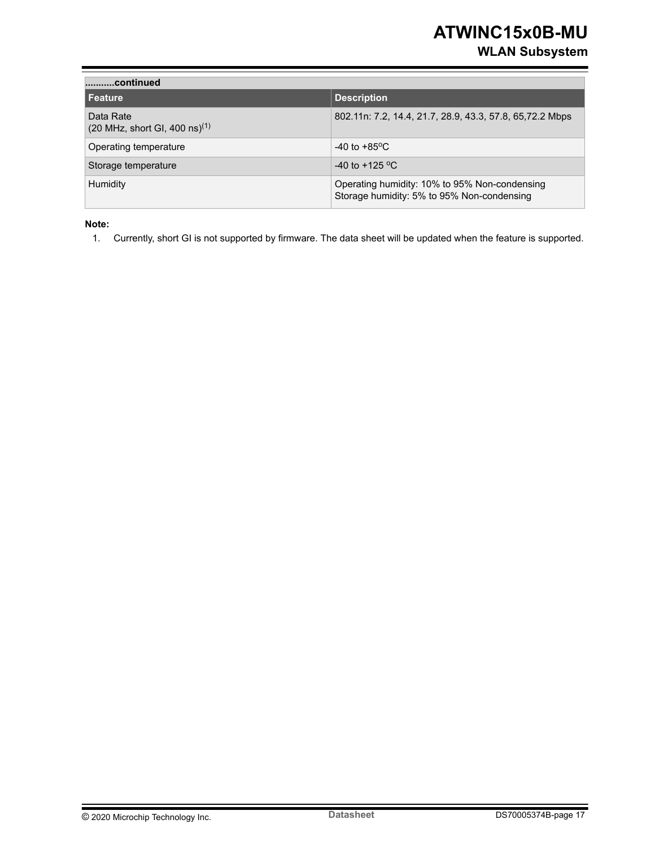# **WLAN Subsystem**

| continued                                                                      |                                                                                             |
|--------------------------------------------------------------------------------|---------------------------------------------------------------------------------------------|
| <b>Feature</b>                                                                 | <b>Description</b>                                                                          |
| Data Rate<br>$(20 \text{ MHz}, \text{short } \text{GI}, 400 \text{ ns})^{(1)}$ | 802.11n: 7.2, 14.4, 21.7, 28.9, 43.3, 57.8, 65, 72.2 Mbps                                   |
| Operating temperature                                                          | -40 to +85 $\mathrm{^{\circ}C}$                                                             |
| Storage temperature                                                            | $-40$ to $+125$ °C.                                                                         |
| Humidity                                                                       | Operating humidity: 10% to 95% Non-condensing<br>Storage humidity: 5% to 95% Non-condensing |

**Note:** 

1. Currently, short GI is not supported by firmware. The data sheet will be updated when the feature is supported.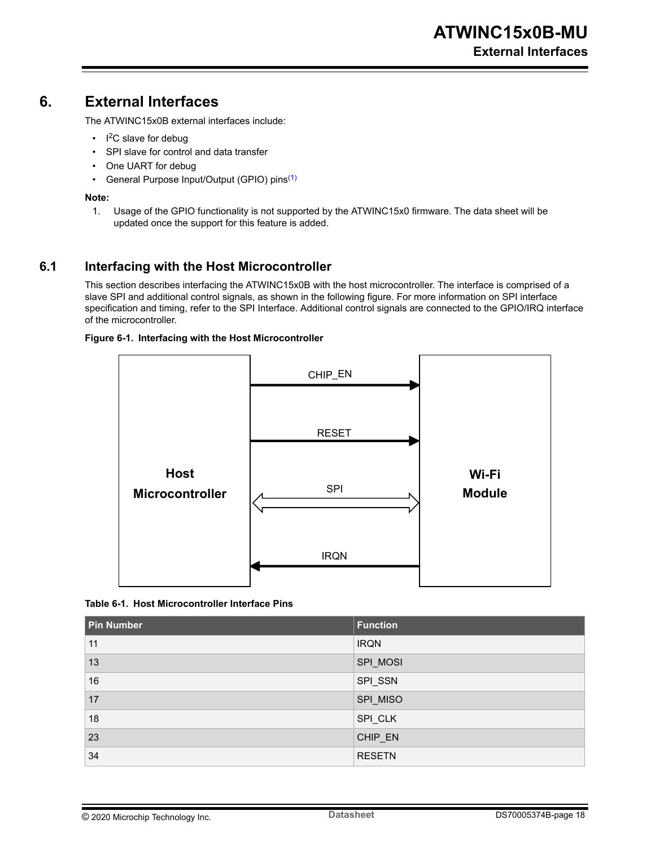# <span id="page-17-0"></span>**6. External Interfaces**

The ATWINC15x0B external interfaces include:

- $\cdot$  I<sup>2</sup>C slave for debug
- SPI slave for control and data transfer
- One UART for debug
- General Purpose Input/Output (GPIO) pins<sup>(1)</sup>

#### **Note:**

1. Usage of the GPIO functionality is not supported by the ATWINC15x0 firmware. The data sheet will be updated once the support for this feature is added.

#### **6.1 Interfacing with the Host Microcontroller**

This section describes interfacing the ATWINC15x0B with the host microcontroller. The interface is comprised of a slave SPI and additional control signals, as shown in the following figure. For more information on SPI interface specification and timing, refer to the SPI Interface. Additional control signals are connected to the GPIO/IRQ interface of the microcontroller.

#### **Figure 6-1. Interfacing with the Host Microcontroller**



**Table 6-1. Host Microcontroller Interface Pins**

| <b>Pin Number</b> | Function      |
|-------------------|---------------|
| 11                | <b>IRQN</b>   |
| 13                | SPI_MOSI      |
| 16                | SPI_SSN       |
| 17                | SPI_MISO      |
| 18                | SPI_CLK       |
| 23                | CHIP_EN       |
| 34                | <b>RESETN</b> |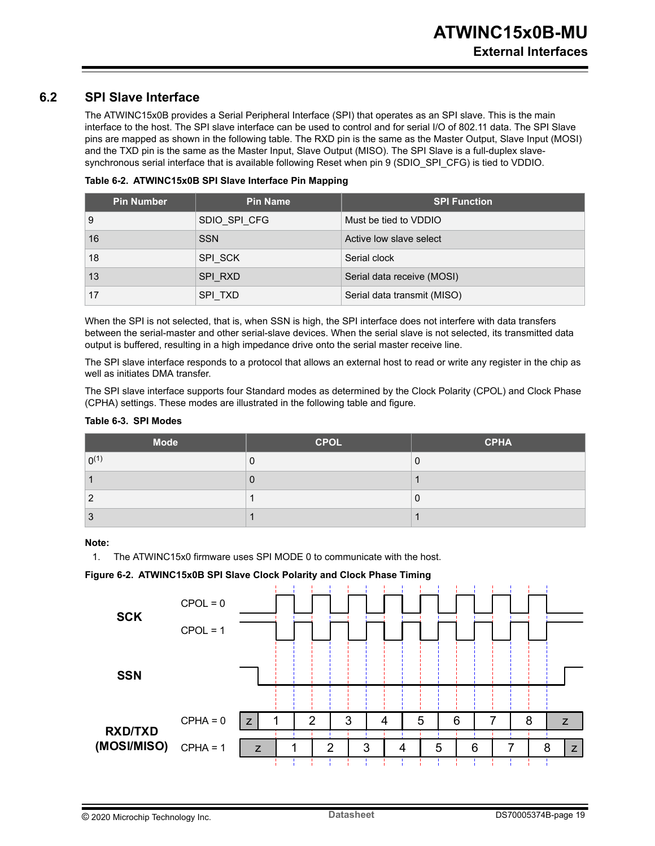#### <span id="page-18-0"></span>**6.2 SPI Slave Interface**

The ATWINC15x0B provides a Serial Peripheral Interface (SPI) that operates as an SPI slave. This is the main interface to the host. The SPI slave interface can be used to control and for serial I/O of 802.11 data. The SPI Slave pins are mapped as shown in the following table. The RXD pin is the same as the Master Output, Slave Input (MOSI) and the TXD pin is the same as the Master Input, Slave Output (MISO). The SPI Slave is a full-duplex slavesynchronous serial interface that is available following Reset when pin 9 (SDIO\_SPI\_CFG) is tied to VDDIO.

|  | Table 6-2. ATWINC15x0B SPI Slave Interface Pin Mapping |  |  |  |  |
|--|--------------------------------------------------------|--|--|--|--|
|--|--------------------------------------------------------|--|--|--|--|

| <b>Pin Number</b> | <b>Pin Name</b> | <b>SPI Function</b>         |
|-------------------|-----------------|-----------------------------|
| 9                 | SDIO SPI CFG    | Must be tied to VDDIO       |
| 16                | <b>SSN</b>      | Active low slave select     |
| 18                | SPI SCK         | Serial clock                |
| 13                | SPI RXD         | Serial data receive (MOSI)  |
| 17                | SPI TXD         | Serial data transmit (MISO) |

When the SPI is not selected, that is, when SSN is high, the SPI interface does not interfere with data transfers between the serial-master and other serial-slave devices. When the serial slave is not selected, its transmitted data output is buffered, resulting in a high impedance drive onto the serial master receive line.

The SPI slave interface responds to a protocol that allows an external host to read or write any register in the chip as well as initiates DMA transfer.

The SPI slave interface supports four Standard modes as determined by the Clock Polarity (CPOL) and Clock Phase (CPHA) settings. These modes are illustrated in the following table and figure.

#### **Table 6-3. SPI Modes**

| <b>Mode</b> | <b>CPOL</b> | <b>CPHA</b> |
|-------------|-------------|-------------|
| $0^{(1)}$   | υ           |             |
|             |             |             |
| C           |             |             |
| ◠<br>ື      |             |             |

#### **Note:**

1. The ATWINC15x0 firmware uses SPI MODE 0 to communicate with the host.

#### **Figure 6-2. ATWINC15x0B SPI Slave Clock Polarity and Clock Phase Timing**

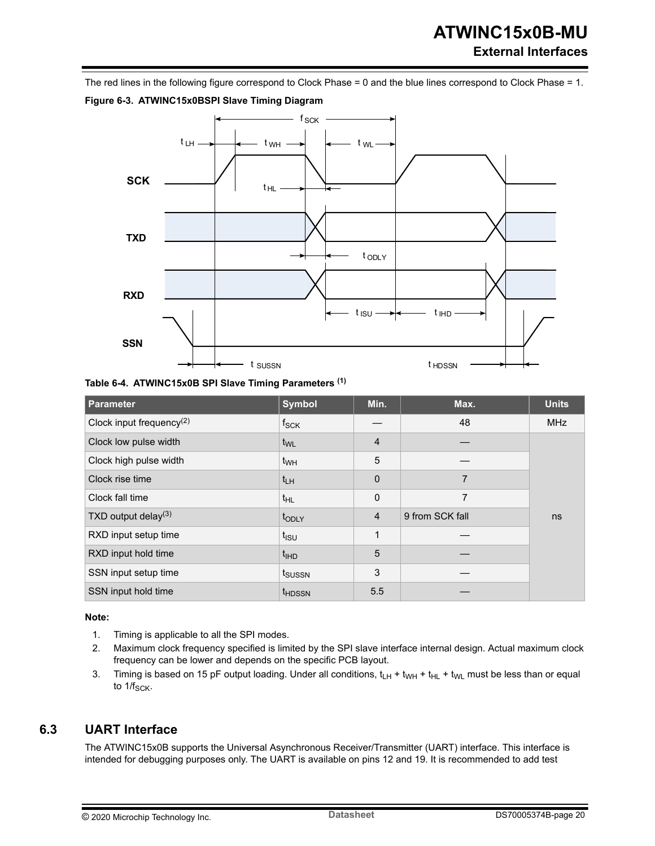# **ATWINC15x0B-MU External Interfaces**

<span id="page-19-0"></span>The red lines in the following figure correspond to Clock Phase = 0 and the blue lines correspond to Clock Phase = 1.



**Table 6-4. ATWINC15x0B SPI Slave Timing Parameters (1)**

| Parameter                   | <b>Symbol</b>      | Min.           | Max.            | <b>Units</b> |
|-----------------------------|--------------------|----------------|-----------------|--------------|
| Clock input frequency $(2)$ | $f_{\mathsf{SCK}}$ |                | 48              | <b>MHz</b>   |
| Clock low pulse width       | t <sub>WL</sub>    | $\overline{4}$ |                 |              |
| Clock high pulse width      | t <sub>WH</sub>    | 5              |                 |              |
| Clock rise time             | $t_{LH}$           | 0              | 7               |              |
| Clock fall time             | $t_{HL}$           | $\mathbf{0}$   | 7               |              |
| TXD output delay $(3)$      | topLY              | $\overline{4}$ | 9 from SCK fall | ns           |
| RXD input setup time        | $t_{\rm ISU}$      | 1              |                 |              |
| RXD input hold time         | <sup>t</sup> IHD   | 5              |                 |              |
| SSN input setup time        | t <sub>SUSSN</sub> | 3              |                 |              |
| SSN input hold time         | <sup>t</sup> HDSSN | 5.5            |                 |              |

**Note:** 

- 1. Timing is applicable to all the SPI modes.
- 2. Maximum clock frequency specified is limited by the SPI slave interface internal design. Actual maximum clock frequency can be lower and depends on the specific PCB layout.
- 3. Timing is based on 15 pF output loading. Under all conditions,  $t_H + t_{WH} + t_{HL} + t_{WL}$  must be less than or equal to  $1/f_{\text{SCK}}$ .

### **6.3 UART Interface**

The ATWINC15x0B supports the Universal Asynchronous Receiver/Transmitter (UART) interface. This interface is intended for debugging purposes only. The UART is available on pins 12 and 19. It is recommended to add test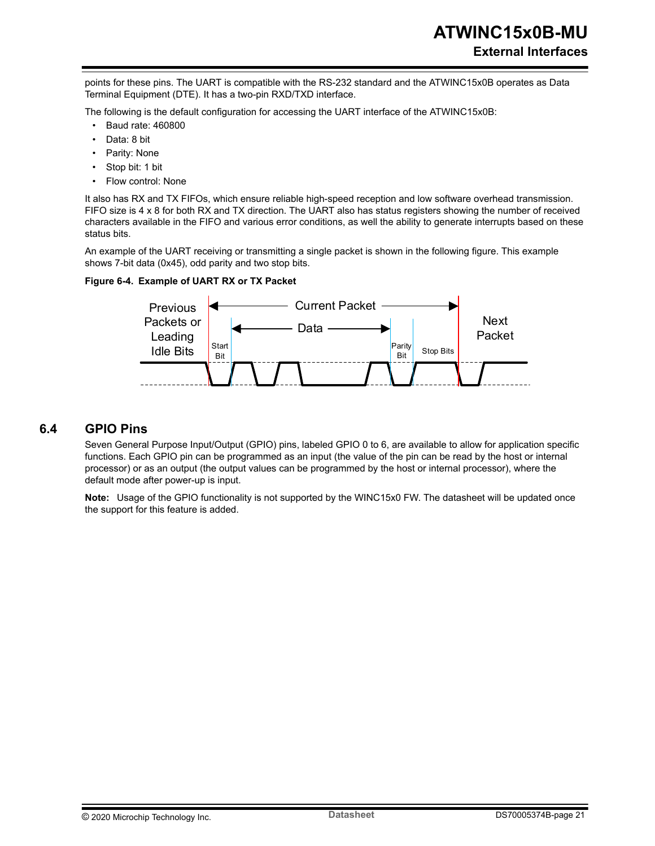<span id="page-20-0"></span>points for these pins. The UART is compatible with the RS-232 standard and the ATWINC15x0B operates as Data Terminal Equipment (DTE). It has a two-pin RXD/TXD interface.

The following is the default configuration for accessing the UART interface of the ATWINC15x0B:

- Baud rate: 460800
- Data: 8 bit
- Parity: None
- Stop bit: 1 bit
- Flow control: None

It also has RX and TX FIFOs, which ensure reliable high-speed reception and low software overhead transmission. FIFO size is 4 x 8 for both RX and TX direction. The UART also has status registers showing the number of received characters available in the FIFO and various error conditions, as well the ability to generate interrupts based on these status bits.

An example of the UART receiving or transmitting a single packet is shown in the following figure. This example shows 7-bit data (0x45), odd parity and two stop bits.

#### **Figure 6-4. Example of UART RX or TX Packet**



#### **6.4 GPIO Pins**

Seven General Purpose Input/Output (GPIO) pins, labeled GPIO 0 to 6, are available to allow for application specific functions. Each GPIO pin can be programmed as an input (the value of the pin can be read by the host or internal processor) or as an output (the output values can be programmed by the host or internal processor), where the default mode after power-up is input.

**Note:**  Usage of the GPIO functionality is not supported by the WINC15x0 FW. The datasheet will be updated once the support for this feature is added.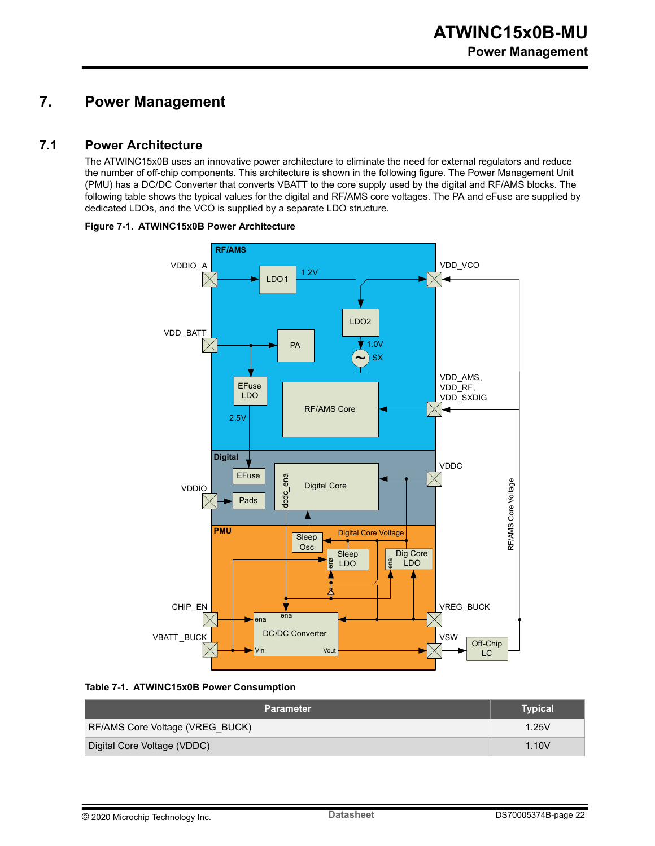# <span id="page-21-0"></span>**7. Power Management**

#### **7.1 Power Architecture**

The ATWINC15x0B uses an innovative power architecture to eliminate the need for external regulators and reduce the number of off-chip components. This architecture is shown in the following figure. The Power Management Unit (PMU) has a DC/DC Converter that converts VBATT to the core supply used by the digital and RF/AMS blocks. The following table shows the typical values for the digital and RF/AMS core voltages. The PA and eFuse are supplied by dedicated LDOs, and the VCO is supplied by a separate LDO structure.







| <b>Parameter</b>                | Typical |
|---------------------------------|---------|
| RF/AMS Core Voltage (VREG BUCK) | 1.25V   |
| Digital Core Voltage (VDDC)     | 1.10V   |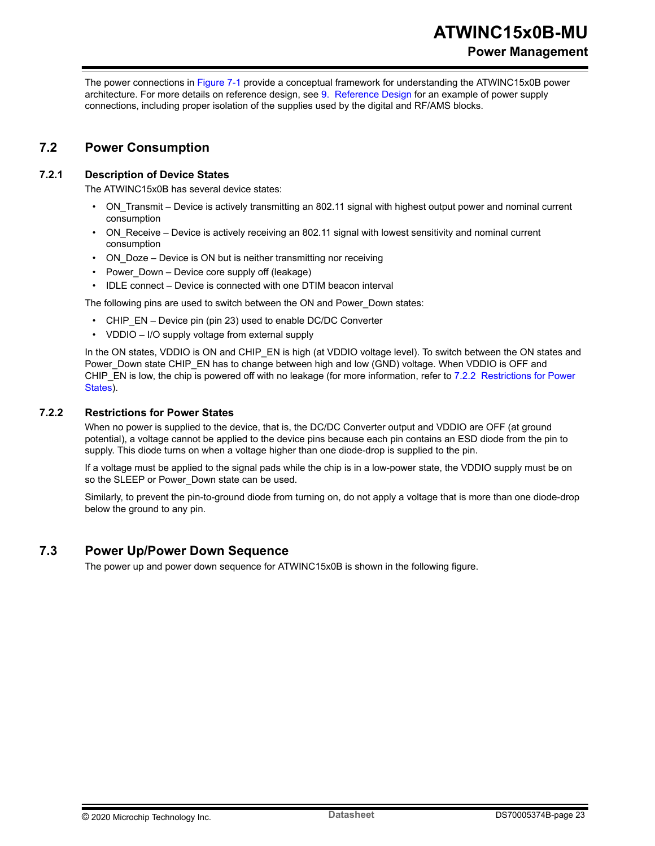<span id="page-22-0"></span>The power connections in [Figure 7-1](#page-21-0) provide a conceptual framework for understanding the ATWINC15x0B power architecture. For more details on reference design, see [9. Reference Design](#page-30-0) for an example of power supply connections, including proper isolation of the supplies used by the digital and RF/AMS blocks.

### **7.2 Power Consumption**

#### **7.2.1 Description of Device States**

The ATWINC15x0B has several device states:

- ON Transmit Device is actively transmitting an 802.11 signal with highest output power and nominal current consumption
- ON\_Receive Device is actively receiving an 802.11 signal with lowest sensitivity and nominal current consumption
- ON Doze Device is ON but is neither transmitting nor receiving
- Power Down Device core supply off (leakage)
- IDLE connect Device is connected with one DTIM beacon interval

The following pins are used to switch between the ON and Power\_Down states:

- CHIP EN Device pin (pin 23) used to enable DC/DC Converter
- VDDIO I/O supply voltage from external supply

In the ON states, VDDIO is ON and CHIP\_EN is high (at VDDIO voltage level). To switch between the ON states and Power\_Down state CHIP\_EN has to change between high and low (GND) voltage. When VDDIO is OFF and CHIP\_EN is low, the chip is powered off with no leakage (for more information, refer to 7.2.2 Restrictions for Power States).

#### **7.2.2 Restrictions for Power States**

When no power is supplied to the device, that is, the DC/DC Converter output and VDDIO are OFF (at ground potential), a voltage cannot be applied to the device pins because each pin contains an ESD diode from the pin to supply. This diode turns on when a voltage higher than one diode-drop is supplied to the pin.

If a voltage must be applied to the signal pads while the chip is in a low-power state, the VDDIO supply must be on so the SLEEP or Power Down state can be used.

Similarly, to prevent the pin-to-ground diode from turning on, do not apply a voltage that is more than one diode-drop below the ground to any pin.

#### **7.3 Power Up/Power Down Sequence**

The power up and power down sequence for ATWINC15x0B is shown in the following figure.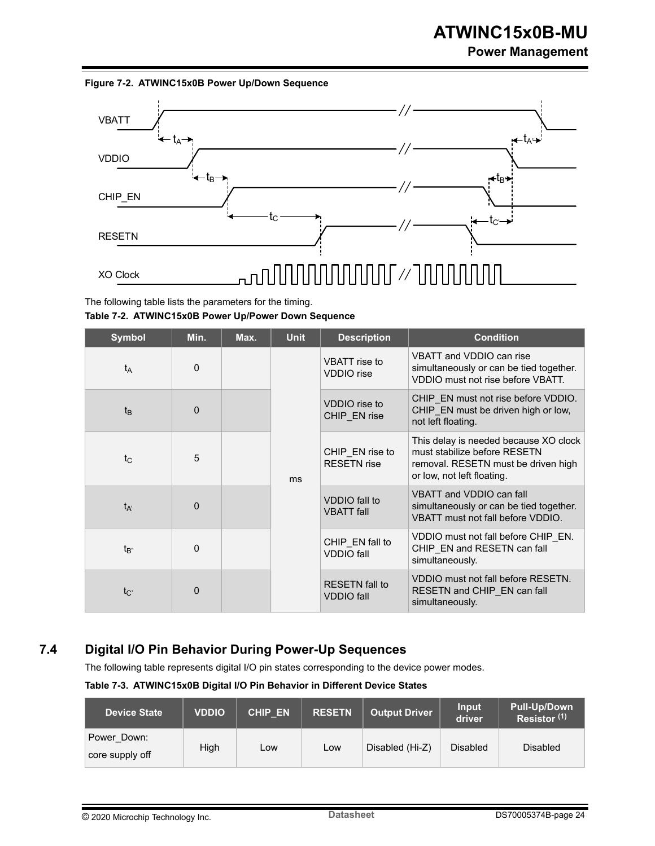### **Power Management**



<span id="page-23-0"></span>**Figure 7-2. ATWINC15x0B Power Up/Down Sequence**

The following table lists the parameters for the timing. **Table 7-2. ATWINC15x0B Power Up/Power Down Sequence**

| <b>Symbol</b>   | Min.     | Max. | <b>Unit</b> | <b>Description</b>                         | <b>Condition</b>                                                                                         |                                                                                                                                            |                                                                                       |
|-----------------|----------|------|-------------|--------------------------------------------|----------------------------------------------------------------------------------------------------------|--------------------------------------------------------------------------------------------------------------------------------------------|---------------------------------------------------------------------------------------|
| $t_A$           | $\Omega$ |      |             | VBATT rise to<br><b>VDDIO</b> rise         | VBATT and VDDIO can rise<br>simultaneously or can be tied together.<br>VDDIO must not rise before VBATT. |                                                                                                                                            |                                                                                       |
| $t_{B}$         | 0        |      | ms          |                                            | VDDIO rise to<br>CHIP EN rise                                                                            | CHIP EN must not rise before VDDIO.<br>CHIP EN must be driven high or low,<br>not left floating.                                           |                                                                                       |
| $t_{\rm C}$     | 5        |      |             |                                            | CHIP EN rise to<br><b>RESETN</b> rise                                                                    | This delay is needed because XO clock<br>must stabilize before RESETN<br>removal. RESETN must be driven high<br>or low, not left floating. |                                                                                       |
| $t_{A'}$        | $\Omega$ |      |             | VDDIO fall to<br><b>VBATT</b> fall         | VBATT and VDDIO can fall<br>simultaneously or can be tied together.<br>VBATT must not fall before VDDIO. |                                                                                                                                            |                                                                                       |
| t <sub>R'</sub> | 0        |      |             |                                            |                                                                                                          | CHIP EN fall to<br><b>VDDIO</b> fall                                                                                                       | VDDIO must not fall before CHIP EN.<br>CHIP EN and RESETN can fall<br>simultaneously. |
| $t_{C'}$        | $\Omega$ |      |             | <b>RESETN</b> fall to<br><b>VDDIO</b> fall | VDDIO must not fall before RESETN.<br>RESETN and CHIP_EN can fall<br>simultaneously.                     |                                                                                                                                            |                                                                                       |

# **7.4 Digital I/O Pin Behavior During Power-Up Sequences**

The following table represents digital I/O pin states corresponding to the device power modes.

**Table 7-3. ATWINC15x0B Digital I/O Pin Behavior in Different Device States**

| <b>Device State</b>            | <b>VDDIO</b> | <b>CHIP EN</b> | <b>RESETN</b> | <b>Output Driver</b> | Input<br>driver | <b>Pull-Up/Down</b><br>Resistor <sup>(1)</sup> |
|--------------------------------|--------------|----------------|---------------|----------------------|-----------------|------------------------------------------------|
| Power Down:<br>core supply off | High         | Low            | Low           | Disabled (Hi-Z)      | <b>Disabled</b> | <b>Disabled</b>                                |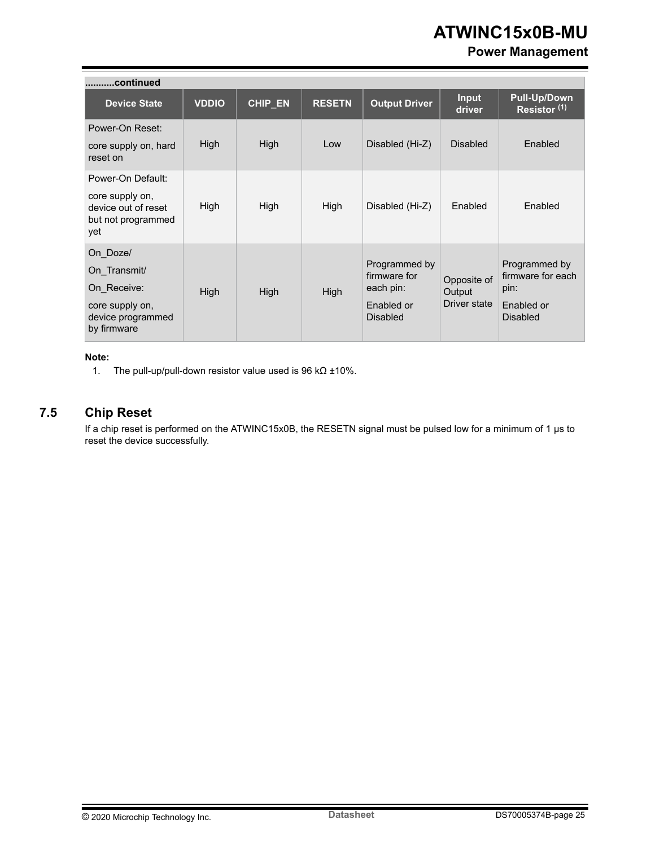### **Power Management**

<span id="page-24-0"></span>

| continued                                                                                      |              |         |               |                                                                             |                                       |                                                                             |
|------------------------------------------------------------------------------------------------|--------------|---------|---------------|-----------------------------------------------------------------------------|---------------------------------------|-----------------------------------------------------------------------------|
| <b>Device State</b>                                                                            | <b>VDDIO</b> | CHIP_EN | <b>RESETN</b> | <b>Output Driver</b>                                                        | <b>Input</b><br>driver                | <b>Pull-Up/Down</b><br>Resistor <sup>(1)</sup>                              |
| Power-On Reset:<br>core supply on, hard<br>reset on                                            | High         | High    | Low           | Disabled (Hi-Z)                                                             | <b>Disabled</b>                       | Enabled                                                                     |
| Power-On Default:<br>core supply on,<br>device out of reset<br>but not programmed<br>yet       | High         | High    | High          | Disabled (Hi-Z)                                                             | Enabled                               | Enabled                                                                     |
| On Doze/<br>On Transmit/<br>On Receive:<br>core supply on,<br>device programmed<br>by firmware | High         | High    | High          | Programmed by<br>firmware for<br>each pin:<br>Enabled or<br><b>Disabled</b> | Opposite of<br>Output<br>Driver state | Programmed by<br>firmware for each<br>pin:<br>Enabled or<br><b>Disabled</b> |

#### **Note:**

1. The pull-up/pull-down resistor value used is 96 kΩ ±10%.

### **7.5 Chip Reset**

If a chip reset is performed on the ATWINC15x0B, the RESETN signal must be pulsed low for a minimum of 1 µs to reset the device successfully.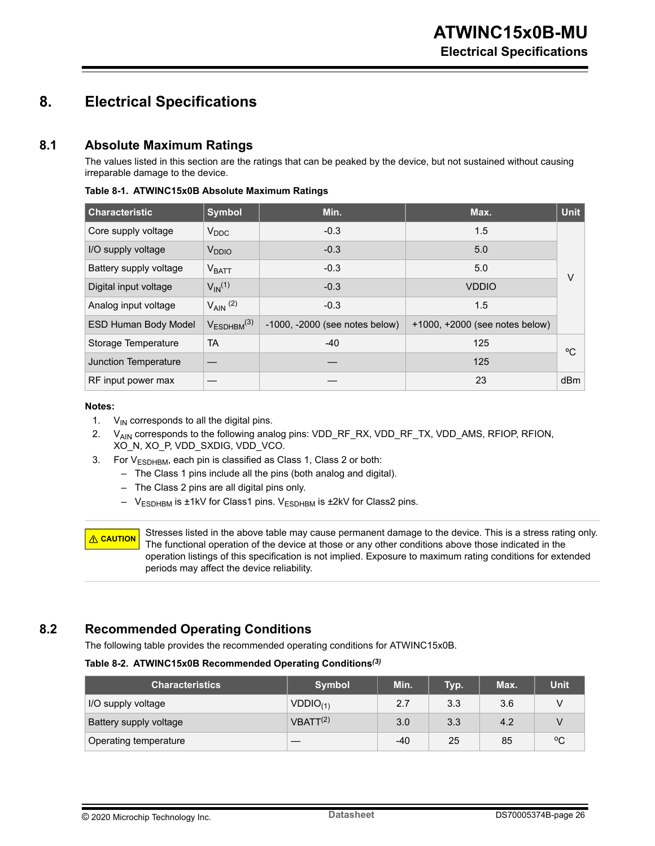# <span id="page-25-0"></span>**8. Electrical Specifications**

### **8.1 Absolute Maximum Ratings**

The values listed in this section are the ratings that can be peaked by the device, but not sustained without causing irreparable damage to the device.

| <b>Characteristic</b>       | <b>Symbol</b>           | Min.                           | Max.                                | Unit |
|-----------------------------|-------------------------|--------------------------------|-------------------------------------|------|
| Core supply voltage         | $V_{DDC}$               | $-0.3$                         | 1.5                                 |      |
| I/O supply voltage          | V <sub>DDIO</sub>       | $-0.3$                         | 5.0                                 |      |
| Battery supply voltage      | V <sub>BATT</sub>       | $-0.3$                         | 5.0                                 | V    |
| Digital input voltage       | $V_{IN}$ <sup>(1)</sup> | $-0.3$                         | <b>VDDIO</b>                        |      |
| Analog input voltage        | $V_{AlN}$ (2)           | $-0.3$                         | 1.5                                 |      |
| <b>ESD Human Body Model</b> | $V_{ESDHBM}^{(3)}$      | -1000, -2000 (see notes below) | $+1000$ , $+2000$ (see notes below) |      |
| Storage Temperature         | <b>TA</b>               | $-40$                          | 125                                 | °C   |
| <b>Junction Temperature</b> |                         |                                | 125                                 |      |
| RF input power max          |                         |                                | 23                                  | dBm  |

**Table 8-1. ATWINC15x0B Absolute Maximum Ratings**

#### **Notes:**

- 1.  $V_{IN}$  corresponds to all the digital pins.
- 2. V<sub>AIN</sub> corresponds to the following analog pins: VDD\_RF\_RX, VDD\_RF\_TX, VDD\_AMS, RFIOP, RFION, XO\_N, XO\_P, VDD\_SXDIG, VDD\_VCO.
- 3. For  $V_{ESDHBM}$ , each pin is classified as Class 1, Class 2 or both:
	- The Class 1 pins include all the pins (both analog and digital).
	- The Class 2 pins are all digital pins only.
	- V<sub>ESDHBM</sub> is ±1kV for Class1 pins. V<sub>ESDHBM</sub> is ±2kV for Class2 pins.

**CAUTION** Stresses listed in the above table may cause permanent damage to the device. This is a stress rating only. The functional operation of the device at those or any other conditions above those indicated in the operation listings of this specification is not implied. Exposure to maximum rating conditions for extended periods may affect the device reliability.

### **8.2 Recommended Operating Conditions**

The following table provides the recommended operating conditions for ATWINC15x0B.

#### **Table 8-2. ATWINC15x0B Recommended Operating Conditions***(3)*

| <b>Characteristics</b> | <b>Symbol</b>        | Min. | Typ. | Max. | <b>Unit</b> |
|------------------------|----------------------|------|------|------|-------------|
| I/O supply voltage     | $VDDIO_{(1)}$        | 2.7  | 3.3  | 3.6  |             |
| Battery supply voltage | VBATT <sup>(2)</sup> | 3.0  | 3.3  | 4.2  |             |
| Operating temperature  |                      | -40  | 25   | 85   | °C          |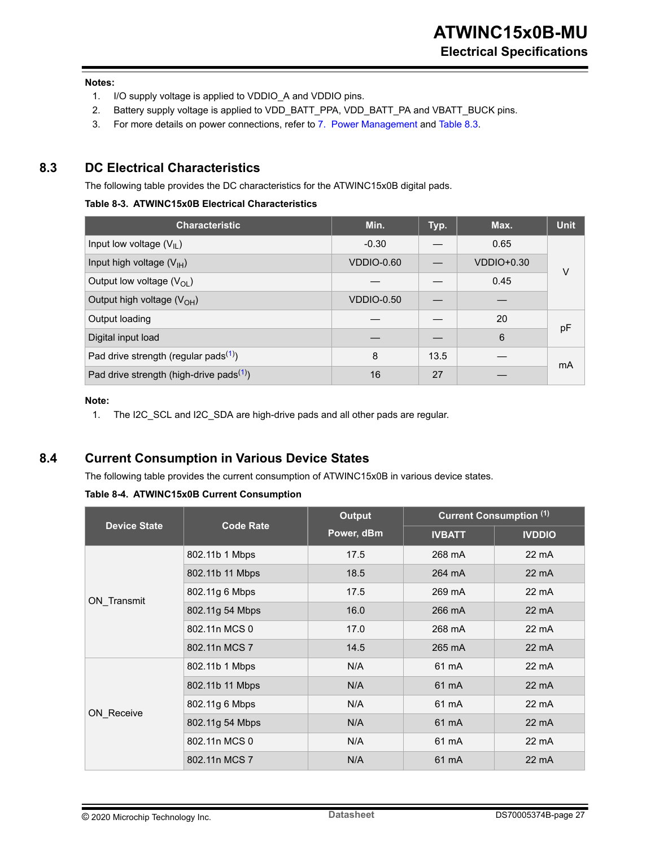#### <span id="page-26-0"></span>**Notes:**

- 1. I/O supply voltage is applied to VDDIO\_A and VDDIO pins.
- 2. Battery supply voltage is applied to VDD\_BATT\_PPA, VDD\_BATT\_PA and VBATT\_BUCK pins.
- 3. For more details on power connections, refer to [7. Power Management](#page-21-0) and Table 8.3.

#### **8.3 DC Electrical Characteristics**

The following table provides the DC characteristics for the ATWINC15x0B digital pads.

#### **Table 8-3. ATWINC15x0B Electrical Characteristics**

| <b>Characteristic</b>                                | Min.              | Typ. | Max.              | <b>Unit</b> |
|------------------------------------------------------|-------------------|------|-------------------|-------------|
| Input low voltage $(V_{IL})$                         | $-0.30$           |      | 0.65              |             |
| Input high voltage $(V_{H})$                         | VDDIO-0.60        |      | <b>VDDIO+0.30</b> | V           |
| Output low voltage $(V_{OL})$                        |                   |      | 0.45              |             |
| Output high voltage $(V_{OH})$                       | <b>VDDIO-0.50</b> |      |                   |             |
| Output loading                                       |                   |      | 20                |             |
| Digital input load                                   |                   |      | 6                 | pF          |
| Pad drive strength (regular pads <sup>(1)</sup> )    | 8                 | 13.5 |                   | mA          |
| Pad drive strength (high-drive pads <sup>(1)</sup> ) | 16                | 27   |                   |             |

#### **Note:**

1. The I2C\_SCL and I2C\_SDA are high-drive pads and all other pads are regular.

### **8.4 Current Consumption in Various Device States**

The following table provides the current consumption of ATWINC15x0B in various device states.

**Table 8-4. ATWINC15x0B Current Consumption**

|                     |                  | <b>Output</b> | <b>Current Consumption (1)</b> |                 |  |
|---------------------|------------------|---------------|--------------------------------|-----------------|--|
| <b>Device State</b> | <b>Code Rate</b> | Power, dBm    | <b>IVBATT</b>                  | <b>IVDDIO</b>   |  |
|                     | 802.11b 1 Mbps   | 17.5          | 268 mA                         | 22 mA           |  |
|                     | 802.11b 11 Mbps  | 18.5          | 264 mA                         | $22 \text{ mA}$ |  |
| ON_Transmit         | 802.11g 6 Mbps   | 17.5          | 269 mA                         | $22 \text{ mA}$ |  |
|                     | 802.11g 54 Mbps  | 16.0          | 266 mA                         | $22 \text{ mA}$ |  |
|                     | 802.11n MCS 0    | 17.0          | 268 mA                         | 22 mA           |  |
|                     | 802.11n MCS 7    | 14.5          | 265 mA                         | $22 \text{ mA}$ |  |
|                     | 802.11b 1 Mbps   | N/A           | 61 mA                          | $22 \text{ mA}$ |  |
|                     | 802.11b 11 Mbps  | N/A           | 61 mA                          | $22 \text{ mA}$ |  |
| ON Receive          | 802.11g 6 Mbps   | N/A           | 61 mA                          | $22 \text{ mA}$ |  |
|                     | 802.11g 54 Mbps  | N/A           | 61 mA                          | $22 \text{ mA}$ |  |
|                     | 802.11n MCS 0    | N/A           | 61 mA                          | 22 mA           |  |
|                     | 802.11n MCS 7    | N/A           | 61 mA                          | $22 \text{ mA}$ |  |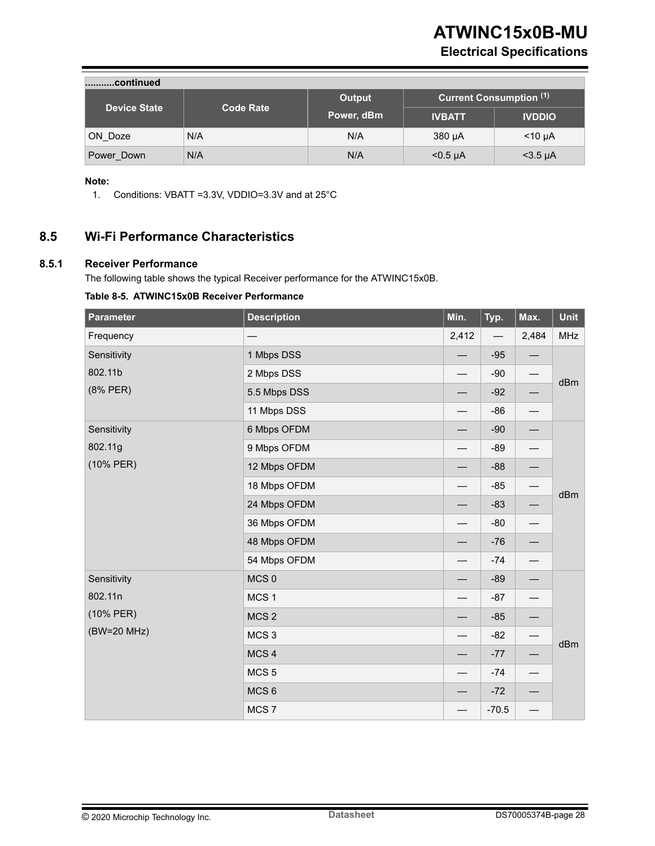# **Electrical Specifications**

<span id="page-27-0"></span>

| continued           |                  |            |                                |               |  |  |  |
|---------------------|------------------|------------|--------------------------------|---------------|--|--|--|
| <b>Device State</b> | <b>Code Rate</b> | Output     | <b>Current Consumption (1)</b> |               |  |  |  |
|                     |                  | Power, dBm | <b>IVBATT</b>                  | <b>IVDDIO</b> |  |  |  |
| ON Doze             | N/A              | N/A        | 380 µA                         | $<$ 10 µA     |  |  |  |
| Power Down          | N/A              | N/A        | $<$ 0.5 µA                     | $<$ 3.5 µA    |  |  |  |

#### **Note:**

1. Conditions: VBATT =3.3V, VDDIO=3.3V and at 25°C

### **8.5 Wi-Fi Performance Characteristics**

#### **8.5.1 Receiver Performance**

The following table shows the typical Receiver performance for the ATWINC15x0B.

#### **Table 8-5. ATWINC15x0B Receiver Performance**

| <b>Parameter</b> | <b>Description</b> | Min.                     | Typ.    | Max.                           | Unit       |  |  |  |  |
|------------------|--------------------|--------------------------|---------|--------------------------------|------------|--|--|--|--|
| Frequency        |                    | 2,412                    |         | 2,484                          | <b>MHz</b> |  |  |  |  |
| Sensitivity      | 1 Mbps DSS         |                          | $-95$   |                                |            |  |  |  |  |
| 802.11b          | 2 Mbps DSS         |                          | $-90$   |                                | dBm        |  |  |  |  |
| (8% PER)         | 5.5 Mbps DSS       |                          | $-92$   |                                |            |  |  |  |  |
|                  | 11 Mbps DSS        |                          | $-86$   |                                |            |  |  |  |  |
| Sensitivity      | 6 Mbps OFDM        |                          | $-90$   |                                |            |  |  |  |  |
| 802.11g          | 9 Mbps OFDM        |                          | $-89$   | $\qquad \qquad$                |            |  |  |  |  |
| (10% PER)        | 12 Mbps OFDM       |                          | $-88$   | $\qquad \qquad -$              |            |  |  |  |  |
|                  | 18 Mbps OFDM       |                          | $-85$   |                                | dBm        |  |  |  |  |
|                  | 24 Mbps OFDM       |                          | $-83$   |                                |            |  |  |  |  |
|                  | 36 Mbps OFDM       |                          | $-80$   | $\overline{\phantom{0}}$       |            |  |  |  |  |
|                  | 48 Mbps OFDM       |                          | $-76$   |                                |            |  |  |  |  |
|                  | 54 Mbps OFDM       |                          | $-74$   | $\overline{\phantom{0}}$       |            |  |  |  |  |
| Sensitivity      | MCS <sub>0</sub>   |                          | $-89$   | $\qquad \qquad$                |            |  |  |  |  |
| 802.11n          | MCS <sub>1</sub>   |                          | $-87$   |                                |            |  |  |  |  |
| (10% PER)        | MCS <sub>2</sub>   |                          | $-85$   | —                              |            |  |  |  |  |
| (BW=20 MHz)      | MCS <sub>3</sub>   |                          | $-82$   |                                | dBm        |  |  |  |  |
|                  | MCS <sub>4</sub>   |                          | $-77$   | $\qquad \qquad \longleftarrow$ |            |  |  |  |  |
|                  | MCS <sub>5</sub>   |                          | $-74$   | $\qquad \qquad \longleftarrow$ |            |  |  |  |  |
|                  | MCS <sub>6</sub>   |                          | $-72$   |                                |            |  |  |  |  |
|                  | MCS <sub>7</sub>   | $\overline{\phantom{0}}$ | $-70.5$ | $\overline{\phantom{0}}$       |            |  |  |  |  |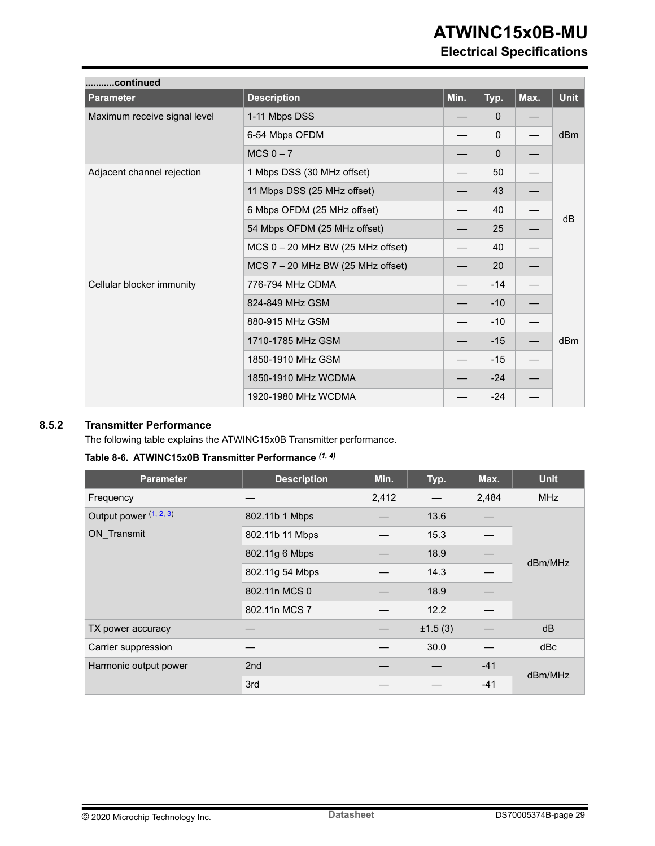<span id="page-28-0"></span>

| continued                    |                                     |      |              |      |             |  |  |  |
|------------------------------|-------------------------------------|------|--------------|------|-------------|--|--|--|
| <b>Parameter</b>             | <b>Description</b>                  | Min. | Typ.         | Max. | <b>Unit</b> |  |  |  |
| Maximum receive signal level | 1-11 Mbps DSS                       |      | $\mathbf{0}$ |      |             |  |  |  |
|                              | 6-54 Mbps OFDM                      |      | $\mathbf 0$  |      | dBm         |  |  |  |
|                              | $MCS$ 0 $-7$                        |      | 0            |      |             |  |  |  |
| Adjacent channel rejection   | 1 Mbps DSS (30 MHz offset)          |      | 50           |      |             |  |  |  |
|                              | 11 Mbps DSS (25 MHz offset)         |      | 43           |      |             |  |  |  |
|                              | 6 Mbps OFDM (25 MHz offset)         |      | 40           |      | dB          |  |  |  |
|                              | 54 Mbps OFDM (25 MHz offset)        |      | 25           |      |             |  |  |  |
|                              | $MCS 0 - 20 MHz BW (25 MHz offset)$ |      | 40           |      |             |  |  |  |
|                              | $MCS$ 7 – 20 MHz BW (25 MHz offset) |      | 20           |      |             |  |  |  |
| Cellular blocker immunity    | 776-794 MHz CDMA                    |      | $-14$        |      |             |  |  |  |
|                              | 824-849 MHz GSM                     |      | $-10$        |      |             |  |  |  |
|                              | 880-915 MHz GSM                     |      | $-10$        |      |             |  |  |  |
|                              | 1710-1785 MHz GSM                   |      | $-15$        |      | dBm         |  |  |  |
|                              | 1850-1910 MHz GSM                   |      | $-15$        |      |             |  |  |  |
|                              | 1850-1910 MHz WCDMA                 |      | $-24$        |      |             |  |  |  |
|                              | 1920-1980 MHz WCDMA                 |      | $-24$        |      |             |  |  |  |

#### **8.5.2 Transmitter Performance**

The following table explains the ATWINC15x0B Transmitter performance.

| <b>Parameter</b>       | <b>Description</b> | Min.  | Typ.    | Max.  | <b>Unit</b> |  |
|------------------------|--------------------|-------|---------|-------|-------------|--|
| Frequency              |                    | 2,412 |         | 2,484 | <b>MHz</b>  |  |
| Output power (1, 2, 3) | 802.11b 1 Mbps     |       | 13.6    |       |             |  |
| ON Transmit            | 802.11b 11 Mbps    |       | 15.3    |       |             |  |
|                        | 802.11g 6 Mbps     |       | 18.9    |       | dBm/MHz     |  |
|                        | 802.11g 54 Mbps    |       | 14.3    |       |             |  |
|                        | 802.11n MCS 0      |       | 18.9    |       |             |  |
|                        | 802.11n MCS 7      |       | 12.2    |       |             |  |
| TX power accuracy      |                    |       | ±1.5(3) |       | dB          |  |
| Carrier suppression    |                    |       | 30.0    |       | dBc         |  |
| Harmonic output power  | 2nd                |       |         | $-41$ | dBm/MHz     |  |
|                        | 3rd                |       |         | $-41$ |             |  |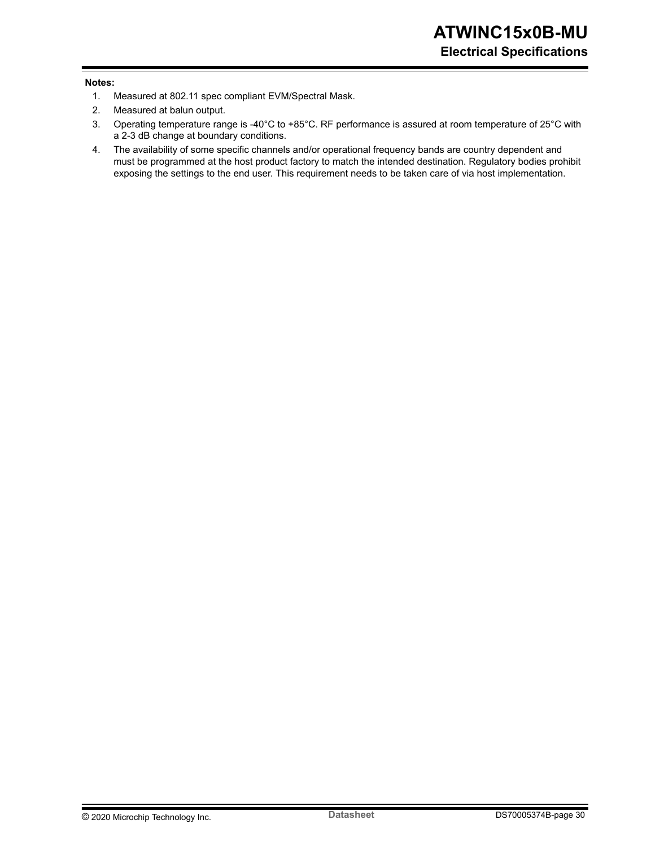#### <span id="page-29-0"></span>**Notes:**

- 1. Measured at 802.11 spec compliant EVM/Spectral Mask.
- 2. Measured at balun output.
- 3. Operating temperature range is -40°C to +85°C. RF performance is assured at room temperature of 25°C with a 2-3 dB change at boundary conditions.
- 4. The availability of some specific channels and/or operational frequency bands are country dependent and must be programmed at the host product factory to match the intended destination. Regulatory bodies prohibit exposing the settings to the end user. This requirement needs to be taken care of via host implementation.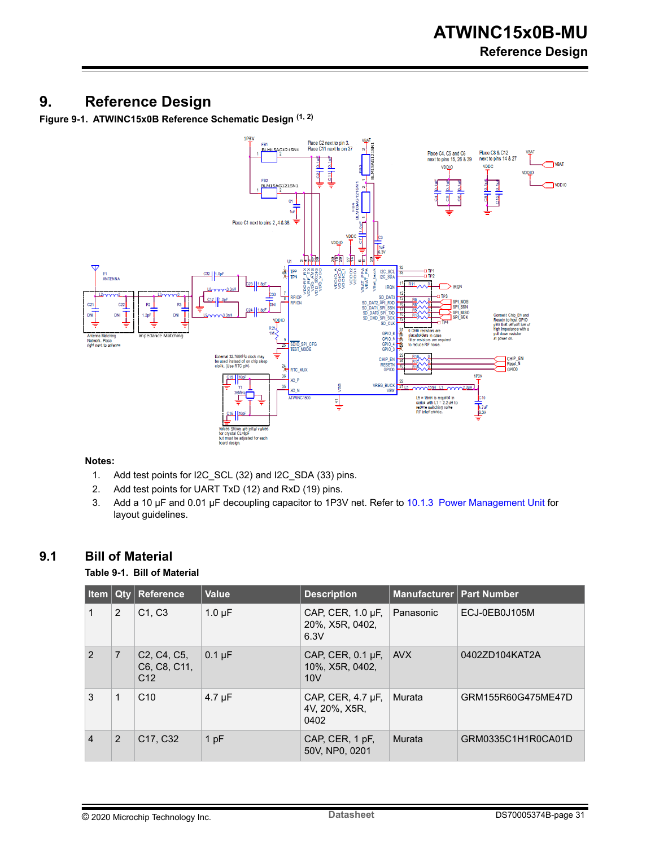# <span id="page-30-0"></span>**9. Reference Design**

**Figure 9-1. ATWINC15x0B Reference Schematic Design (1, 2)**



#### **Notes:**

- 1. Add test points for I2C\_SCL (32) and I2C\_SDA (33) pins.
- 2. Add test points for UART TxD (12) and RxD (19) pins.
- 3. Add a 10 µF and 0.01 µF decoupling capacitor to 1P3V net. Refer to [10.1.3 Power Management Unit](#page-33-0) for layout guidelines.

### **9.1 Bill of Material**

#### **Table 9-1. Bill of Material**

| Item $ $       |   | <b>Qty Reference</b>                                                                  | Value       | <b>Description</b>                                | Manufacturer   Part Number |                    |
|----------------|---|---------------------------------------------------------------------------------------|-------------|---------------------------------------------------|----------------------------|--------------------|
|                | 2 | C1, C3                                                                                | $1.0 \mu F$ | CAP, CER, 1.0 µF,<br>20%, X5R, 0402,<br>6.3V      | Panasonic                  | ECJ-0EB0J105M      |
| $\mathcal{P}$  | 7 | C <sub>2</sub> , C <sub>4</sub> , C <sub>5</sub> ,<br>C6, C8, C11,<br>C <sub>12</sub> | $0.1 \mu F$ | CAP, CER, $0.1 \mu F$ ,<br>10%, X5R, 0402,<br>10V | AVX                        | 0402ZD104KAT2A     |
| 3              |   | C <sub>10</sub>                                                                       | $4.7 \mu F$ | CAP, CER, 4.7 µF,<br>4V, 20%, X5R,<br>0402        | Murata                     | GRM155R60G475ME47D |
| $\overline{4}$ | 2 | C <sub>17</sub> , C <sub>32</sub>                                                     | 1pF         | CAP, CER, 1 pF,<br>50V, NP0, 0201                 | Murata                     | GRM0335C1H1R0CA01D |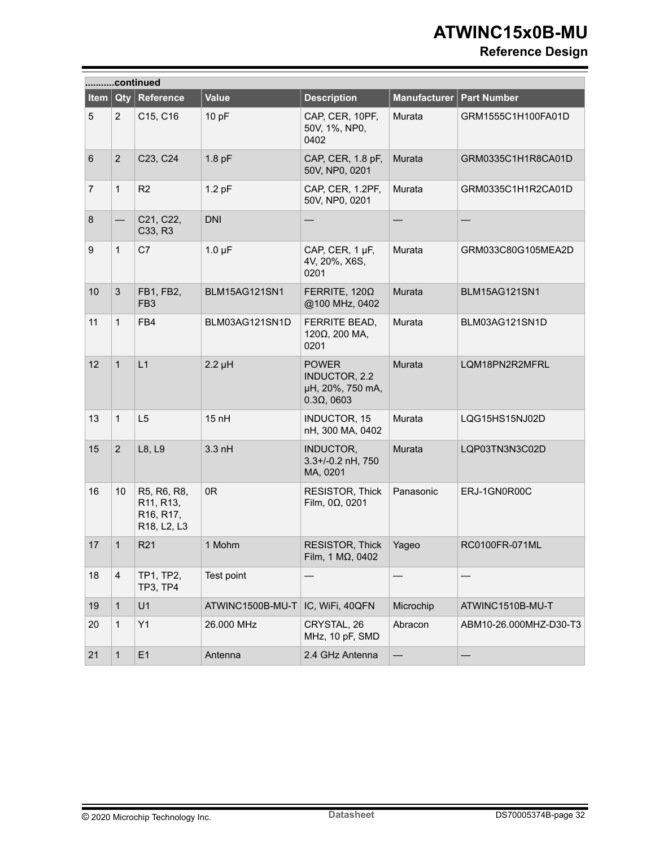# **Reference Design**

|       |                | continued                                                                                                |                  |                                                                         |                     |                        |
|-------|----------------|----------------------------------------------------------------------------------------------------------|------------------|-------------------------------------------------------------------------|---------------------|------------------------|
| Item  | Qty            | Reference                                                                                                | <b>Value</b>     | <b>Description</b>                                                      | <b>Manufacturer</b> | <b>Part Number</b>     |
| 5     | $\overline{2}$ | C15, C16                                                                                                 | 10 pF            | CAP, CER, 10PF,<br>50V, 1%, NP0,<br>0402                                | Murata              | GRM1555C1H100FA01D     |
| $\,6$ | $\overline{2}$ | C23, C24                                                                                                 | $1.8$ pF         | CAP, CER, 1.8 pF,<br>50V, NP0, 0201                                     | Murata              | GRM0335C1H1R8CA01D     |
| 7     | $\mathbf{1}$   | R <sub>2</sub>                                                                                           | $1.2$ pF         | CAP, CER, 1.2PF,<br>50V, NP0, 0201                                      | Murata              | GRM0335C1H1R2CA01D     |
| 8     |                | C21, C22,<br>C33, R3                                                                                     | <b>DNI</b>       |                                                                         |                     |                        |
| 9     | $\mathbf{1}$   | C7                                                                                                       | $1.0 \mu F$      | CAP, CER, 1 µF,<br>4V, 20%, X6S,<br>0201                                | Murata              | GRM033C80G105MEA2D     |
| 10    | 3              | FB1, FB2,<br>FB <sub>3</sub>                                                                             | BLM15AG121SN1    | FERRITE, $120\Omega$<br>@100 MHz, 0402                                  | Murata              | BLM15AG121SN1          |
| 11    | $\mathbf{1}$   | FB4                                                                                                      | BLM03AG121SN1D   | FERRITE BEAD,<br>120Ω, 200 MA,<br>0201                                  | Murata              | BLM03AG121SN1D         |
| 12    | $\mathbf{1}$   | L1                                                                                                       | $2.2 \mu H$      | <b>POWER</b><br>INDUCTOR, 2.2<br>µH, 20%, 750 mA,<br>$0.3\Omega$ , 0603 | Murata              | LQM18PN2R2MFRL         |
| 13    | $\mathbf{1}$   | L5                                                                                                       | 15 nH            | <b>INDUCTOR, 15</b><br>nH, 300 MA, 0402                                 | Murata              | LQG15HS15NJ02D         |
| 15    | $\overline{2}$ | L8, L9                                                                                                   | $3.3$ nH         | INDUCTOR,<br>3.3+/-0.2 nH, 750<br>MA, 0201                              | Murata              | LQP03TN3N3C02D         |
| 16    | 10             | R5, R6, R8,<br>R <sub>11</sub> , R <sub>13</sub> ,<br>R <sub>16</sub> , R <sub>17</sub> ,<br>R18, L2, L3 | 0R               | RESISTOR, Thick<br>Film, $0\Omega$ , 0201                               | Panasonic           | ERJ-1GN0R00C           |
| 17    | $\mathbf{1}$   | R <sub>21</sub>                                                                                          | 1 Mohm           | RESISTOR, Thick<br>Film, 1 MΩ, 0402                                     | Yageo               | RC0100FR-071ML         |
| 18    | $\overline{4}$ | TP1, TP2,<br><b>TP3, TP4</b>                                                                             | Test point       |                                                                         |                     |                        |
| 19    | $\mathbf{1}$   | U <sub>1</sub>                                                                                           | ATWINC1500B-MU-T | IC, WiFi, 40QFN                                                         | Microchip           | ATWINC1510B-MU-T       |
| 20    | $\mathbf{1}$   | Y1                                                                                                       | 26.000 MHz       | CRYSTAL, 26<br>MHz, 10 pF, SMD                                          | Abracon             | ABM10-26.000MHZ-D30-T3 |
| 21    | $\mathbf{1}$   | E1                                                                                                       | Antenna          | 2.4 GHz Antenna                                                         |                     |                        |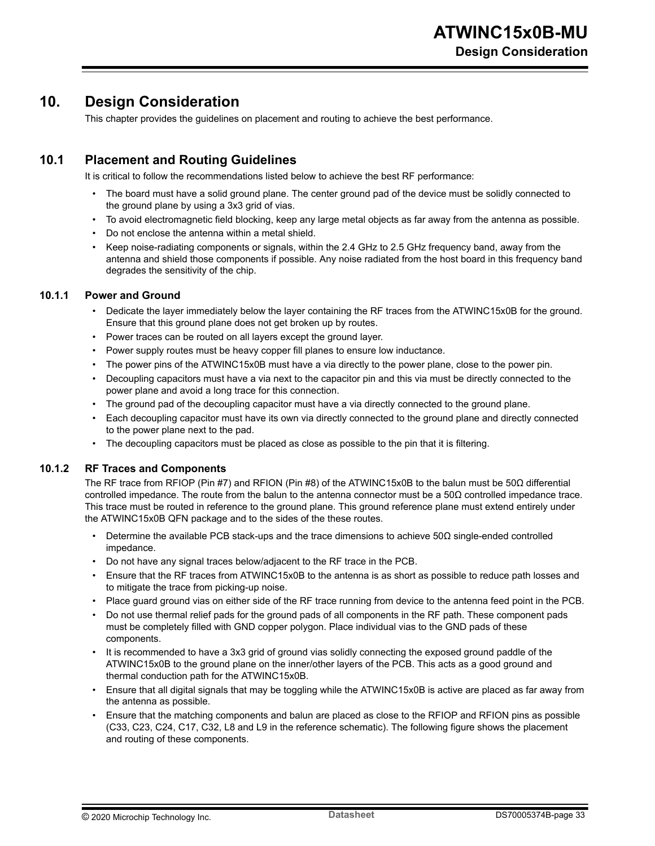# <span id="page-32-0"></span>**10. Design Consideration**

This chapter provides the guidelines on placement and routing to achieve the best performance.

#### **10.1 Placement and Routing Guidelines**

It is critical to follow the recommendations listed below to achieve the best RF performance:

- The board must have a solid ground plane. The center ground pad of the device must be solidly connected to the ground plane by using a 3x3 grid of vias.
- To avoid electromagnetic field blocking, keep any large metal objects as far away from the antenna as possible.
- Do not enclose the antenna within a metal shield.
- Keep noise-radiating components or signals, within the 2.4 GHz to 2.5 GHz frequency band, away from the antenna and shield those components if possible. Any noise radiated from the host board in this frequency band degrades the sensitivity of the chip.

#### **10.1.1 Power and Ground**

- Dedicate the layer immediately below the layer containing the RF traces from the ATWINC15x0B for the ground. Ensure that this ground plane does not get broken up by routes.
- Power traces can be routed on all layers except the ground layer.
- Power supply routes must be heavy copper fill planes to ensure low inductance.
- The power pins of the ATWINC15x0B must have a via directly to the power plane, close to the power pin.
- Decoupling capacitors must have a via next to the capacitor pin and this via must be directly connected to the power plane and avoid a long trace for this connection.
- The ground pad of the decoupling capacitor must have a via directly connected to the ground plane.
- Each decoupling capacitor must have its own via directly connected to the ground plane and directly connected to the power plane next to the pad.
- The decoupling capacitors must be placed as close as possible to the pin that it is filtering.

#### **10.1.2 RF Traces and Components**

The RF trace from RFIOP (Pin #7) and RFION (Pin #8) of the ATWINC15x0B to the balun must be 50Ω differential controlled impedance. The route from the balun to the antenna connector must be a 50Ω controlled impedance trace. This trace must be routed in reference to the ground plane. This ground reference plane must extend entirely under the ATWINC15x0B QFN package and to the sides of the these routes.

- Determine the available PCB stack-ups and the trace dimensions to achieve 50 $\Omega$  single-ended controlled impedance.
- Do not have any signal traces below/adjacent to the RF trace in the PCB.
- Ensure that the RF traces from ATWINC15x0B to the antenna is as short as possible to reduce path losses and to mitigate the trace from picking-up noise.
- Place guard ground vias on either side of the RF trace running from device to the antenna feed point in the PCB.
- Do not use thermal relief pads for the ground pads of all components in the RF path. These component pads must be completely filled with GND copper polygon. Place individual vias to the GND pads of these components.
- It is recommended to have a 3x3 grid of ground vias solidly connecting the exposed ground paddle of the ATWINC15x0B to the ground plane on the inner/other layers of the PCB. This acts as a good ground and thermal conduction path for the ATWINC15x0B.
- Ensure that all digital signals that may be toggling while the ATWINC15x0B is active are placed as far away from the antenna as possible.
- Ensure that the matching components and balun are placed as close to the RFIOP and RFION pins as possible (C33, C23, C24, C17, C32, L8 and L9 in the reference schematic). The following figure shows the placement and routing of these components.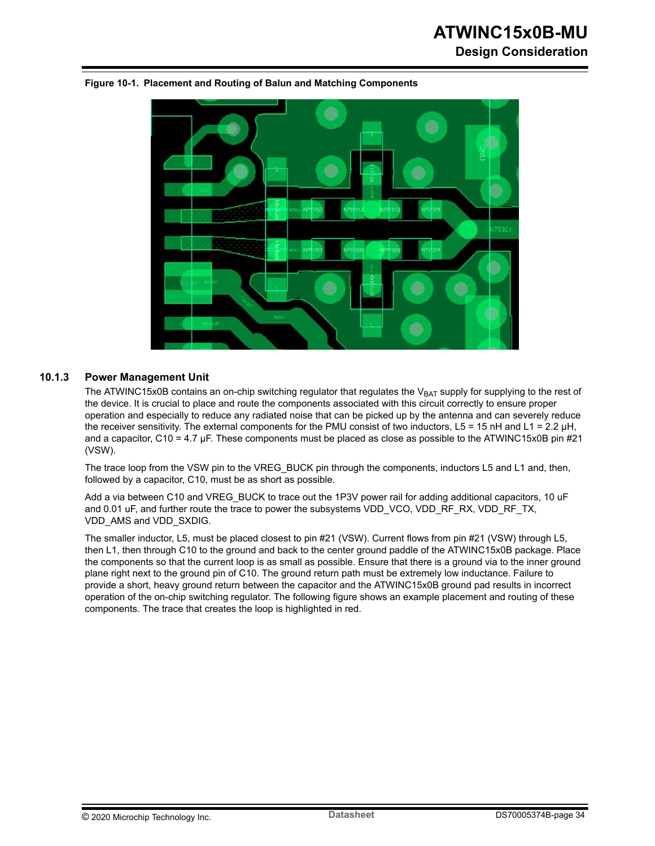# **ATWINC15x0B-MU Design Consideration**



<span id="page-33-0"></span>**Figure 10-1. Placement and Routing of Balun and Matching Components**

#### **10.1.3 Power Management Unit**

The ATWINC15x0B contains an on-chip switching regulator that regulates the  $V_{BAT}$  supply for supplying to the rest of the device. It is crucial to place and route the components associated with this circuit correctly to ensure proper operation and especially to reduce any radiated noise that can be picked up by the antenna and can severely reduce the receiver sensitivity. The external components for the PMU consist of two inductors, L5 = 15 nH and L1 = 2.2 μH, and a capacitor, C10 = 4.7 μF. These components must be placed as close as possible to the ATWINC15x0B pin #21 (VSW).

The trace loop from the VSW pin to the VREG BUCK pin through the components, inductors L5 and L1 and, then, followed by a capacitor, C10, must be as short as possible.

Add a via between C10 and VREG\_BUCK to trace out the 1P3V power rail for adding additional capacitors, 10 uF and 0.01 uF, and further route the trace to power the subsystems VDD\_VCO, VDD\_RF\_RX, VDD\_RF\_TX, VDD\_AMS and VDD\_SXDIG.

The smaller inductor, L5, must be placed closest to pin #21 (VSW). Current flows from pin #21 (VSW) through L5, then L1, then through C10 to the ground and back to the center ground paddle of the ATWINC15x0B package. Place the components so that the current loop is as small as possible. Ensure that there is a ground via to the inner ground plane right next to the ground pin of C10. The ground return path must be extremely low inductance. Failure to provide a short, heavy ground return between the capacitor and the ATWINC15x0B ground pad results in incorrect operation of the on-chip switching regulator. The following figure shows an example placement and routing of these components. The trace that creates the loop is highlighted in red.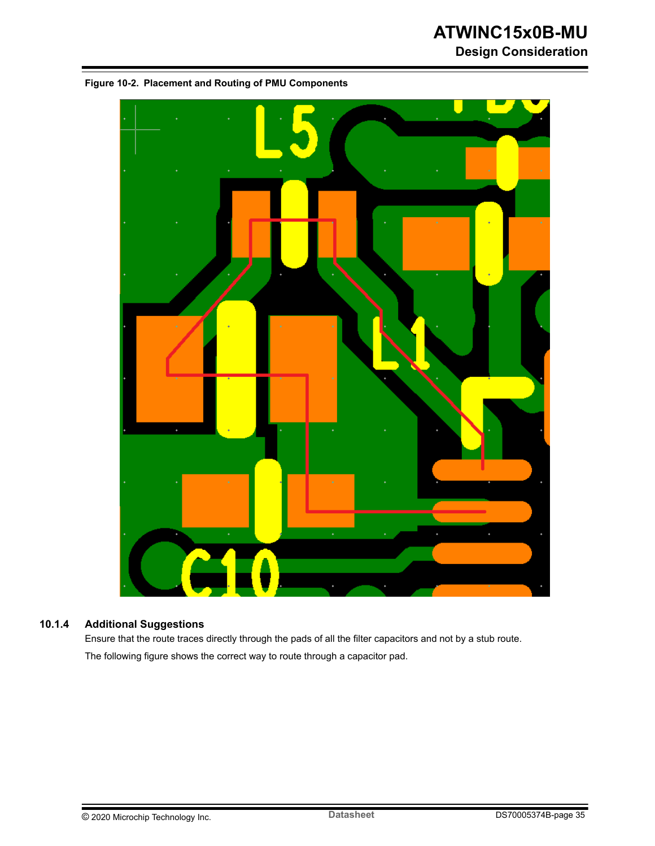# **ATWINC15x0B-MU Design Consideration**



#### **10.1.4 Additional Suggestions**

Ensure that the route traces directly through the pads of all the filter capacitors and not by a stub route. The following figure shows the correct way to route through a capacitor pad.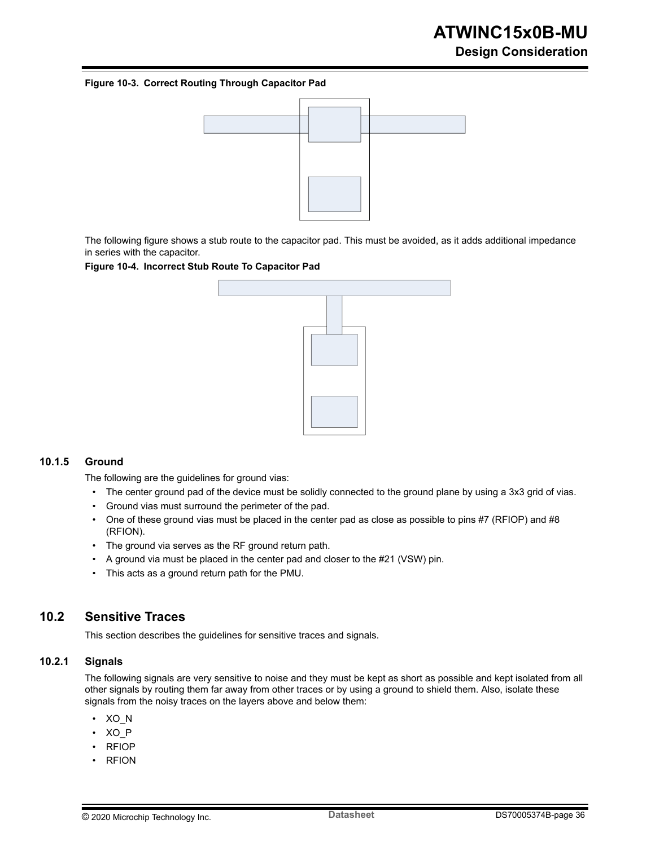#### <span id="page-35-0"></span>**Figure 10-3. Correct Routing Through Capacitor Pad**



The following figure shows a stub route to the capacitor pad. This must be avoided, as it adds additional impedance in series with the capacitor.

#### **Figure 10-4. Incorrect Stub Route To Capacitor Pad**



#### **10.1.5 Ground**

The following are the guidelines for ground vias:

- The center ground pad of the device must be solidly connected to the ground plane by using a 3x3 grid of vias.
- Ground vias must surround the perimeter of the pad.
- One of these ground vias must be placed in the center pad as close as possible to pins #7 (RFIOP) and #8 (RFION).
- The ground via serves as the RF ground return path.
- A ground via must be placed in the center pad and closer to the #21 (VSW) pin.
- This acts as a ground return path for the PMU.

#### **10.2 Sensitive Traces**

This section describes the guidelines for sensitive traces and signals.

#### **10.2.1 Signals**

The following signals are very sensitive to noise and they must be kept as short as possible and kept isolated from all other signals by routing them far away from other traces or by using a ground to shield them. Also, isolate these signals from the noisy traces on the layers above and below them:

- XO\_N
- XO\_P
- RFIOP
- RFION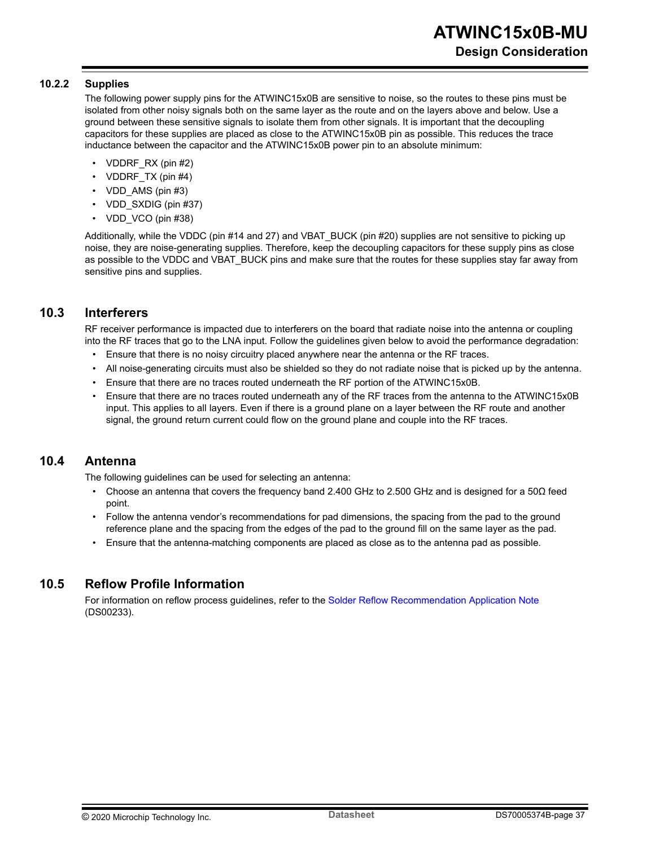#### <span id="page-36-0"></span>**10.2.2 Supplies**

The following power supply pins for the ATWINC15x0B are sensitive to noise, so the routes to these pins must be isolated from other noisy signals both on the same layer as the route and on the layers above and below. Use a ground between these sensitive signals to isolate them from other signals. It is important that the decoupling capacitors for these supplies are placed as close to the ATWINC15x0B pin as possible. This reduces the trace inductance between the capacitor and the ATWINC15x0B power pin to an absolute minimum:

- VDDRF\_RX (pin #2)
- VDDRF\_TX (pin #4)
- VDD\_AMS (pin #3)
- VDD\_SXDIG (pin #37)
- VDD VCO (pin #38)

Additionally, while the VDDC (pin #14 and 27) and VBAT BUCK (pin #20) supplies are not sensitive to picking up noise, they are noise-generating supplies. Therefore, keep the decoupling capacitors for these supply pins as close as possible to the VDDC and VBAT\_BUCK pins and make sure that the routes for these supplies stay far away from sensitive pins and supplies.

#### **10.3 Interferers**

RF receiver performance is impacted due to interferers on the board that radiate noise into the antenna or coupling into the RF traces that go to the LNA input. Follow the guidelines given below to avoid the performance degradation:

- Ensure that there is no noisy circuitry placed anywhere near the antenna or the RF traces.
- All noise-generating circuits must also be shielded so they do not radiate noise that is picked up by the antenna.
- Ensure that there are no traces routed underneath the RF portion of the ATWINC15x0B.
- Ensure that there are no traces routed underneath any of the RF traces from the antenna to the ATWINC15x0B input. This applies to all layers. Even if there is a ground plane on a layer between the RF route and another signal, the ground return current could flow on the ground plane and couple into the RF traces.

#### **10.4 Antenna**

The following guidelines can be used for selecting an antenna:

- Choose an antenna that covers the frequency band 2.400 GHz to 2.500 GHz and is designed for a 50 $\Omega$  feed point.
- Follow the antenna vendor's recommendations for pad dimensions, the spacing from the pad to the ground reference plane and the spacing from the edges of the pad to the ground fill on the same layer as the pad.
- Ensure that the antenna-matching components are placed as close as to the antenna pad as possible.

#### **10.5 Reflow Profile Information**

For information on reflow process guidelines, refer to the [Solder Reflow Recommendation Application Note](http://ww1.microchip.com/downloads/en/AppNotes/00233D.pdf) (DS00233).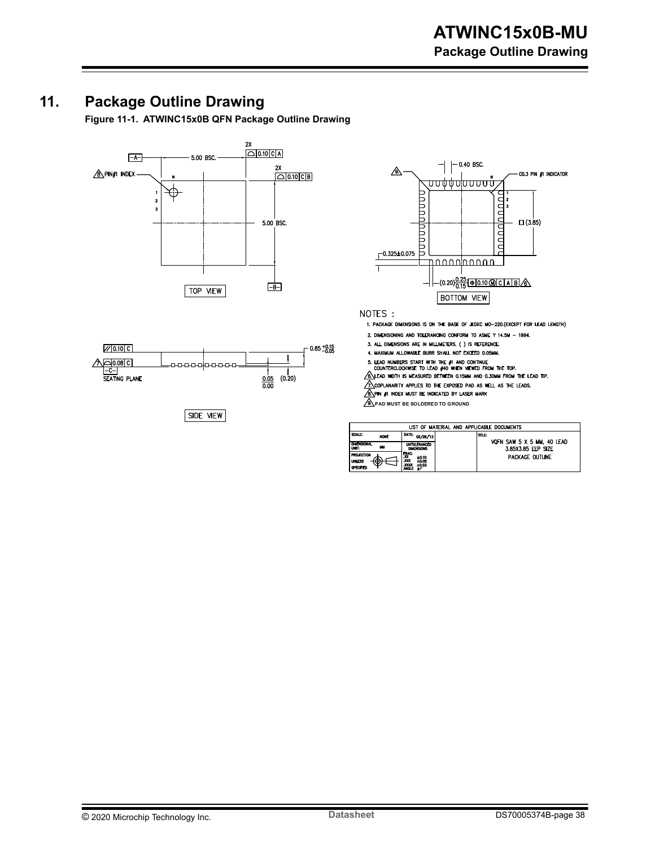# <span id="page-37-0"></span>**11. Package Outline Drawing**

**Figure 11-1. ATWINC15x0B QFN Package Outline Drawing**





 $SIDE$  VIEW



NOTES :

1. PACKAGE DIMENSIONS IS ON THE BASE OF JEDEC MO-220.(EXCEPT FOR LEAD LENGTH)

2. DIMENSIONING AND TOLERANCING CONFORM TO ASME Y 14.5M - 1994.

3. ALL DIMENSIONS ARE IN MILLIMETERS. ( ) IS REFERENCE.

4. MAXIMUM ALLOWABLE BURR SHALL NOT EXCEED 0.05MM.

5. LEAD NUMBERS START WITH THE #1 AND CONTINUE<br>COUNTERCLOCKWISE TO LEAD #40 WHEN VIEWED FROM THE TOP.

6. LEAD WIDTH IS MEASURED BETWEEN 0.15MM AND 0.30MM FROM THE LEAD TIP.

COPLANARITY APPLIES TO THE EXPOSED PAD AS WELL AS THE LEADS.

 $\sqrt{8}$  pin  $\#$  index must be indicated by laser mark

**PAD MUST BE SOLDERED TO GROUND** 

|                                          | LIST OF MATERIAL AND APPLICABLE DOCUMENTS |                                                                           |  |       |                                                  |
|------------------------------------------|-------------------------------------------|---------------------------------------------------------------------------|--|-------|--------------------------------------------------|
| SCALE:                                   | <b>NONE</b>                               | DATE:<br>02/26/13                                                         |  | mm.e. |                                                  |
| <b>DIMENSIONAL</b><br>UNIT:              | w                                         | <b>UNTOLERANCED</b><br><b>DIMENSIONS</b>                                  |  |       | VQFN SAW 5 X 5 MM, 40 LEAD<br>3.85X3.85 EEP SIZE |
| <b>PROJECTION</b><br>UNLESS<br>SPECIFIED |                                           | 땠<br>±0.10<br>XXX<br>±0.05<br><b>XXXX</b><br>±0.03<br><b>ANGLE</b><br>±1° |  |       | PACKAGE OUTLINE                                  |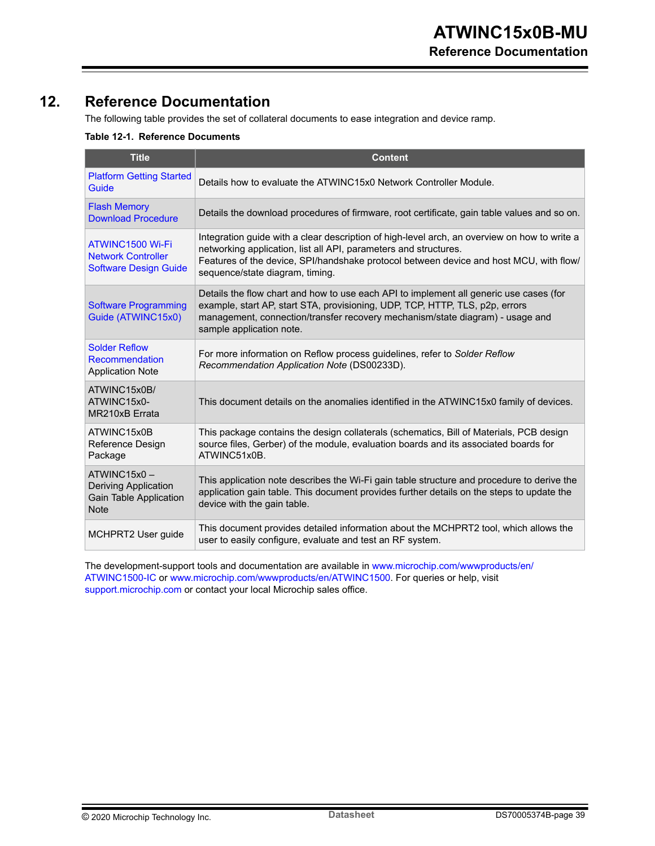# <span id="page-38-0"></span>**12. Reference Documentation**

The following table provides the set of collateral documents to ease integration and device ramp.

#### **Table 12-1. Reference Documents**

| <b>Title</b>                                                                               | <b>Content</b>                                                                                                                                                                                                                                                                                |  |  |  |
|--------------------------------------------------------------------------------------------|-----------------------------------------------------------------------------------------------------------------------------------------------------------------------------------------------------------------------------------------------------------------------------------------------|--|--|--|
| <b>Platform Getting Started</b><br>Guide                                                   | Details how to evaluate the ATWINC15x0 Network Controller Module.                                                                                                                                                                                                                             |  |  |  |
| <b>Flash Memory</b><br><b>Download Procedure</b>                                           | Details the download procedures of firmware, root certificate, gain table values and so on.                                                                                                                                                                                                   |  |  |  |
| ATWINC1500 Wi-Fi<br><b>Network Controller</b><br><b>Software Design Guide</b>              | Integration guide with a clear description of high-level arch, an overview on how to write a<br>networking application, list all API, parameters and structures.<br>Features of the device, SPI/handshake protocol between device and host MCU, with flow/<br>sequence/state diagram, timing. |  |  |  |
| <b>Software Programming</b><br>Guide (ATWINC15x0)                                          | Details the flow chart and how to use each API to implement all generic use cases (for<br>example, start AP, start STA, provisioning, UDP, TCP, HTTP, TLS, p2p, errors<br>management, connection/transfer recovery mechanism/state diagram) - usage and<br>sample application note.           |  |  |  |
| <b>Solder Reflow</b><br>Recommendation<br><b>Application Note</b>                          | For more information on Reflow process guidelines, refer to Solder Reflow<br>Recommendation Application Note (DS00233D).                                                                                                                                                                      |  |  |  |
| ATWINC15x0B/<br>ATWINC15x0-<br>MR210xB Errata                                              | This document details on the anomalies identified in the ATWINC15x0 family of devices.                                                                                                                                                                                                        |  |  |  |
| ATWINC15x0B<br>Reference Design<br>Package                                                 | This package contains the design collaterals (schematics, Bill of Materials, PCB design<br>source files, Gerber) of the module, evaluation boards and its associated boards for<br>ATWINC51x0B.                                                                                               |  |  |  |
| ATWINC15x0-<br><b>Deriving Application</b><br><b>Gain Table Application</b><br><b>Note</b> | This application note describes the Wi-Fi gain table structure and procedure to derive the<br>application gain table. This document provides further details on the steps to update the<br>device with the gain table.                                                                        |  |  |  |
| MCHPRT2 User guide                                                                         | This document provides detailed information about the MCHPRT2 tool, which allows the<br>user to easily configure, evaluate and test an RF system.                                                                                                                                             |  |  |  |

The development-support tools and documentation are available in [www.microchip.com/wwwproducts/en/](https://www.microchip.com/wwwproducts/en/ATWINC1500-IC) [ATWINC1500-IC](https://www.microchip.com/wwwproducts/en/ATWINC1500-IC) or [www.microchip.com/wwwproducts/en/ATWINC1500](https://www.microchip.com/wwwproducts/en/ATWINC1500). For queries or help, visit [support.microchip.com](http://support.microchip.com) or contact your local Microchip sales office.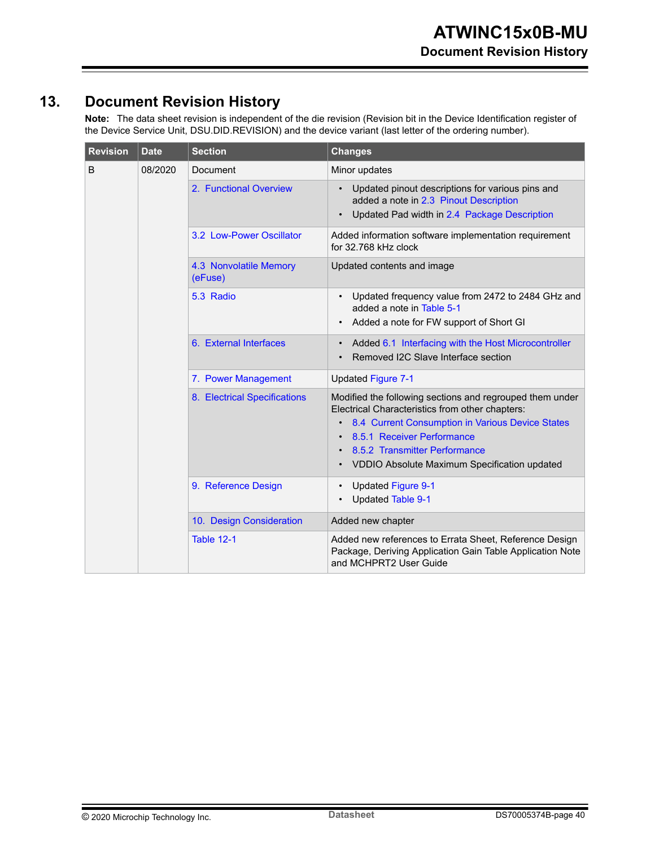# <span id="page-39-0"></span>**13. Document Revision History**

**Note:**  The data sheet revision is independent of the die revision (Revision bit in the Device Identification register of the Device Service Unit, DSU.DID.REVISION) and the device variant (last letter of the ordering number).

| <b>Revision</b> | <b>Date</b> | <b>Section</b>                    | <b>Changes</b>                                                                                                                                                                                                                                                                 |  |
|-----------------|-------------|-----------------------------------|--------------------------------------------------------------------------------------------------------------------------------------------------------------------------------------------------------------------------------------------------------------------------------|--|
| B               | 08/2020     | Document                          | Minor updates                                                                                                                                                                                                                                                                  |  |
|                 |             | 2. Functional Overview            | Updated pinout descriptions for various pins and<br>added a note in 2.3 Pinout Description<br>Updated Pad width in 2.4 Package Description                                                                                                                                     |  |
|                 |             | 3.2 Low-Power Oscillator          | Added information software implementation requirement<br>for 32.768 kHz clock                                                                                                                                                                                                  |  |
|                 |             | 4.3 Nonvolatile Memory<br>(eFuse) | Updated contents and image                                                                                                                                                                                                                                                     |  |
|                 |             | 5.3 Radio                         | Updated frequency value from 2472 to 2484 GHz and<br>added a note in Table 5-1<br>Added a note for FW support of Short GI                                                                                                                                                      |  |
|                 |             | 6. External Interfaces            | Added 6.1 Interfacing with the Host Microcontroller<br>Removed I2C Slave Interface section                                                                                                                                                                                     |  |
|                 |             | 7. Power Management               | <b>Updated Figure 7-1</b>                                                                                                                                                                                                                                                      |  |
|                 |             | 8. Electrical Specifications      | Modified the following sections and regrouped them under<br>Electrical Characteristics from other chapters:<br>8.4 Current Consumption in Various Device States<br>8.5.1 Receiver Performance<br>8.5.2 Transmitter Performance<br>VDDIO Absolute Maximum Specification updated |  |
|                 |             | 9. Reference Design               | <b>Updated Figure 9-1</b><br>$\bullet$<br><b>Updated Table 9-1</b>                                                                                                                                                                                                             |  |
|                 |             | 10. Design Consideration          | Added new chapter                                                                                                                                                                                                                                                              |  |
|                 |             | <b>Table 12-1</b>                 | Added new references to Errata Sheet, Reference Design<br>Package, Deriving Application Gain Table Application Note<br>and MCHPRT2 User Guide                                                                                                                                  |  |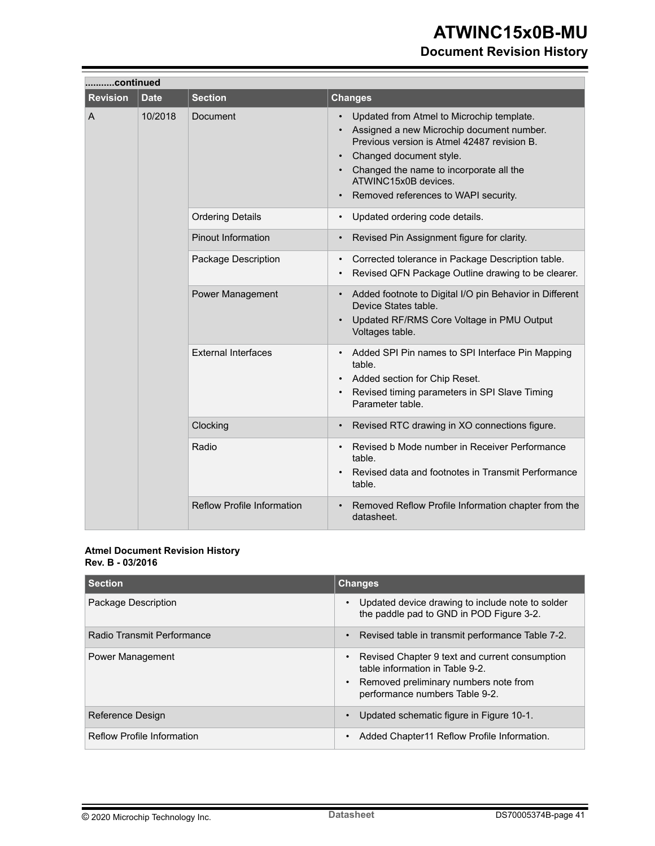# **Document Revision History**

|                 | continued   |                                   |                                                                                                                                                                                                                                                                                                       |  |
|-----------------|-------------|-----------------------------------|-------------------------------------------------------------------------------------------------------------------------------------------------------------------------------------------------------------------------------------------------------------------------------------------------------|--|
| <b>Revision</b> | <b>Date</b> | <b>Section</b>                    | <b>Changes</b>                                                                                                                                                                                                                                                                                        |  |
| A               | 10/2018     | Document                          | Updated from Atmel to Microchip template.<br>$\bullet$<br>Assigned a new Microchip document number.<br>Previous version is Atmel 42487 revision B.<br>Changed document style.<br>Changed the name to incorporate all the<br>ATWINC15x0B devices.<br>Removed references to WAPI security.<br>$\bullet$ |  |
|                 |             | <b>Ordering Details</b>           | Updated ordering code details.<br>$\bullet$                                                                                                                                                                                                                                                           |  |
|                 |             | <b>Pinout Information</b>         | Revised Pin Assignment figure for clarity.<br>$\bullet$                                                                                                                                                                                                                                               |  |
|                 |             | Package Description               | Corrected tolerance in Package Description table.<br>$\bullet$<br>Revised QFN Package Outline drawing to be clearer.                                                                                                                                                                                  |  |
|                 |             | Power Management                  | Added footnote to Digital I/O pin Behavior in Different<br>Device States table.<br>Updated RF/RMS Core Voltage in PMU Output<br>Voltages table.                                                                                                                                                       |  |
|                 |             | <b>External Interfaces</b>        | Added SPI Pin names to SPI Interface Pin Mapping<br>$\bullet$<br>table.<br>Added section for Chip Reset.<br>Revised timing parameters in SPI Slave Timing<br>Parameter table.                                                                                                                         |  |
|                 |             | Clocking                          | Revised RTC drawing in XO connections figure.                                                                                                                                                                                                                                                         |  |
|                 |             | Radio                             | Revised b Mode number in Receiver Performance<br>table.<br>Revised data and footnotes in Transmit Performance<br>table.                                                                                                                                                                               |  |
|                 |             | <b>Reflow Profile Information</b> | Removed Reflow Profile Information chapter from the<br>$\bullet$<br>datasheet.                                                                                                                                                                                                                        |  |

#### **Atmel Document Revision History Rev. B - 03/2016**

| <b>Section</b>             | <b>Changes</b>                                                                                                                                                 |  |  |
|----------------------------|----------------------------------------------------------------------------------------------------------------------------------------------------------------|--|--|
| Package Description        | Updated device drawing to include note to solder<br>the paddle pad to GND in POD Figure 3-2.                                                                   |  |  |
| Radio Transmit Performance | Revised table in transmit performance Table 7-2.<br>$\bullet$                                                                                                  |  |  |
| <b>Power Management</b>    | Revised Chapter 9 text and current consumption<br>table information in Table 9-2.<br>• Removed preliminary numbers note from<br>performance numbers Table 9-2. |  |  |
| Reference Design           | Updated schematic figure in Figure 10-1.                                                                                                                       |  |  |
| Reflow Profile Information | Added Chapter11 Reflow Profile Information.                                                                                                                    |  |  |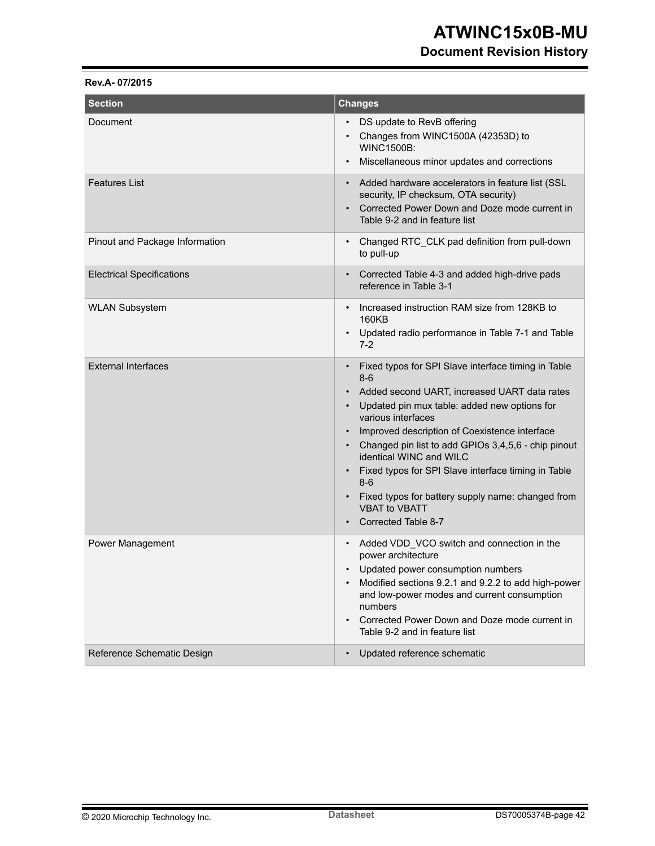### **Document Revision History**

#### **Rev.A- 07/2015**

| <b>Section</b>                   | <b>Changes</b>                                                                                                                                                                                                                                                                                                                                                                                                                                                                                                                                               |  |  |
|----------------------------------|--------------------------------------------------------------------------------------------------------------------------------------------------------------------------------------------------------------------------------------------------------------------------------------------------------------------------------------------------------------------------------------------------------------------------------------------------------------------------------------------------------------------------------------------------------------|--|--|
| Document                         | DS update to RevB offering<br>$\bullet$<br>Changes from WINC1500A (42353D) to<br><b>WINC1500B:</b><br>Miscellaneous minor updates and corrections                                                                                                                                                                                                                                                                                                                                                                                                            |  |  |
| <b>Features List</b>             | Added hardware accelerators in feature list (SSL<br>$\bullet$<br>security, IP checksum, OTA security)<br>Corrected Power Down and Doze mode current in<br>$\bullet$<br>Table 9-2 and in feature list                                                                                                                                                                                                                                                                                                                                                         |  |  |
| Pinout and Package Information   | Changed RTC CLK pad definition from pull-down<br>$\bullet$<br>to pull-up                                                                                                                                                                                                                                                                                                                                                                                                                                                                                     |  |  |
| <b>Electrical Specifications</b> | Corrected Table 4-3 and added high-drive pads<br>$\bullet$<br>reference in Table 3-1                                                                                                                                                                                                                                                                                                                                                                                                                                                                         |  |  |
| <b>WLAN Subsystem</b>            | Increased instruction RAM size from 128KB to<br>$\bullet$<br>160KB<br>Updated radio performance in Table 7-1 and Table<br>$7-2$                                                                                                                                                                                                                                                                                                                                                                                                                              |  |  |
| <b>External Interfaces</b>       | Fixed typos for SPI Slave interface timing in Table<br>$\bullet$<br>$8 - 6$<br>Added second UART, increased UART data rates<br>Updated pin mux table: added new options for<br>various interfaces<br>Improved description of Coexistence interface<br>Changed pin list to add GPIOs 3,4,5,6 - chip pinout<br>$\bullet$<br>identical WINC and WILC<br>Fixed typos for SPI Slave interface timing in Table<br>$\bullet$<br>$8-6$<br>Fixed typos for battery supply name: changed from<br>$\bullet$<br><b>VBAT to VBATT</b><br>Corrected Table 8-7<br>$\bullet$ |  |  |
| Power Management                 | Added VDD VCO switch and connection in the<br>$\bullet$<br>power architecture<br>• Updated power consumption numbers<br>Modified sections 9.2.1 and 9.2.2 to add high-power<br>and low-power modes and current consumption<br>numbers<br>Corrected Power Down and Doze mode current in<br>$\bullet$<br>Table 9-2 and in feature list                                                                                                                                                                                                                         |  |  |
| Reference Schematic Design       | Updated reference schematic<br>$\bullet$                                                                                                                                                                                                                                                                                                                                                                                                                                                                                                                     |  |  |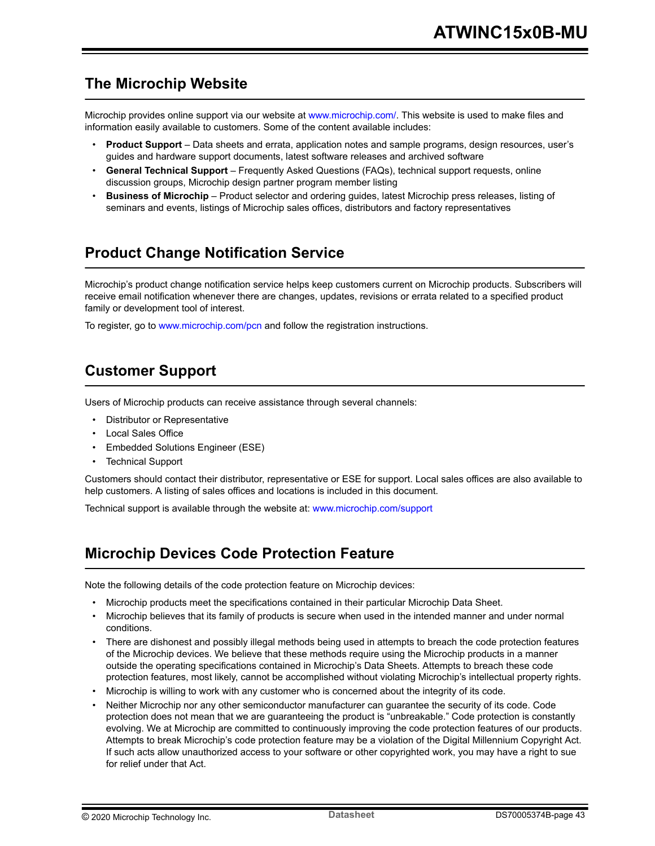# <span id="page-42-0"></span>**The Microchip Website**

Microchip provides online support via our website at [www.microchip.com/](http://www.microchip.com/). This website is used to make files and information easily available to customers. Some of the content available includes:

- **Product Support** Data sheets and errata, application notes and sample programs, design resources, user's guides and hardware support documents, latest software releases and archived software
- **General Technical Support** Frequently Asked Questions (FAQs), technical support requests, online discussion groups, Microchip design partner program member listing
- **Business of Microchip** Product selector and ordering guides, latest Microchip press releases, listing of seminars and events, listings of Microchip sales offices, distributors and factory representatives

# **Product Change Notification Service**

Microchip's product change notification service helps keep customers current on Microchip products. Subscribers will receive email notification whenever there are changes, updates, revisions or errata related to a specified product family or development tool of interest.

To register, go to [www.microchip.com/pcn](http://www.microchip.com/pcn) and follow the registration instructions.

# **Customer Support**

Users of Microchip products can receive assistance through several channels:

- Distributor or Representative
- Local Sales Office
- Embedded Solutions Engineer (ESE)
- Technical Support

Customers should contact their distributor, representative or ESE for support. Local sales offices are also available to help customers. A listing of sales offices and locations is included in this document.

Technical support is available through the website at: [www.microchip.com/support](http://www.microchip.com/support)

# **Microchip Devices Code Protection Feature**

Note the following details of the code protection feature on Microchip devices:

- Microchip products meet the specifications contained in their particular Microchip Data Sheet.
- Microchip believes that its family of products is secure when used in the intended manner and under normal conditions.
- There are dishonest and possibly illegal methods being used in attempts to breach the code protection features of the Microchip devices. We believe that these methods require using the Microchip products in a manner outside the operating specifications contained in Microchip's Data Sheets. Attempts to breach these code protection features, most likely, cannot be accomplished without violating Microchip's intellectual property rights.
- Microchip is willing to work with any customer who is concerned about the integrity of its code.
- Neither Microchip nor any other semiconductor manufacturer can guarantee the security of its code. Code protection does not mean that we are guaranteeing the product is "unbreakable." Code protection is constantly evolving. We at Microchip are committed to continuously improving the code protection features of our products. Attempts to break Microchip's code protection feature may be a violation of the Digital Millennium Copyright Act. If such acts allow unauthorized access to your software or other copyrighted work, you may have a right to sue for relief under that Act.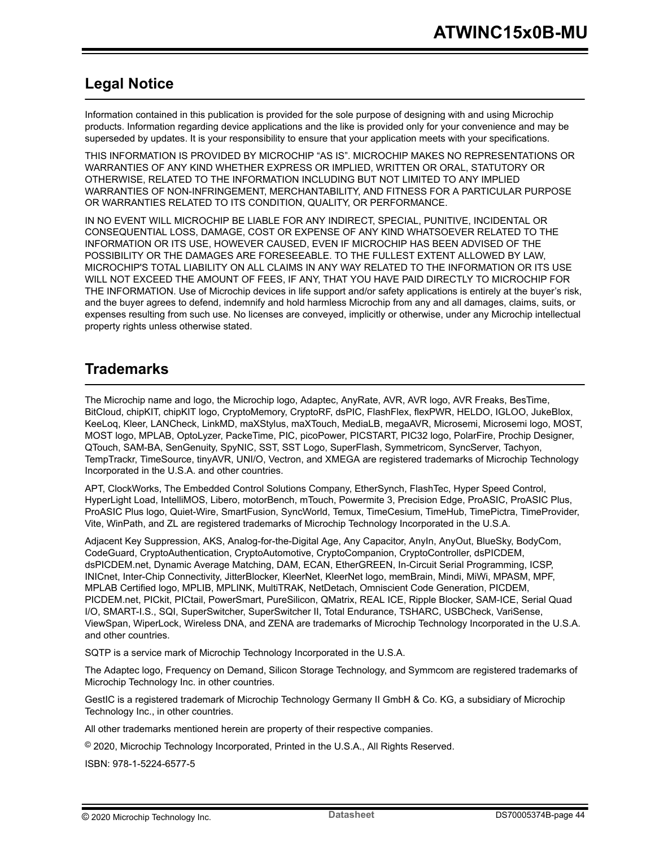# <span id="page-43-0"></span>**Legal Notice**

Information contained in this publication is provided for the sole purpose of designing with and using Microchip products. Information regarding device applications and the like is provided only for your convenience and may be superseded by updates. It is your responsibility to ensure that your application meets with your specifications.

THIS INFORMATION IS PROVIDED BY MICROCHIP "AS IS". MICROCHIP MAKES NO REPRESENTATIONS OR WARRANTIES OF ANY KIND WHETHER EXPRESS OR IMPLIED, WRITTEN OR ORAL, STATUTORY OR OTHERWISE, RELATED TO THE INFORMATION INCLUDING BUT NOT LIMITED TO ANY IMPLIED WARRANTIES OF NON-INFRINGEMENT, MERCHANTABILITY, AND FITNESS FOR A PARTICULAR PURPOSE OR WARRANTIES RELATED TO ITS CONDITION, QUALITY, OR PERFORMANCE.

IN NO EVENT WILL MICROCHIP BE LIABLE FOR ANY INDIRECT, SPECIAL, PUNITIVE, INCIDENTAL OR CONSEQUENTIAL LOSS, DAMAGE, COST OR EXPENSE OF ANY KIND WHATSOEVER RELATED TO THE INFORMATION OR ITS USE, HOWEVER CAUSED, EVEN IF MICROCHIP HAS BEEN ADVISED OF THE POSSIBILITY OR THE DAMAGES ARE FORESEEABLE. TO THE FULLEST EXTENT ALLOWED BY LAW, MICROCHIP'S TOTAL LIABILITY ON ALL CLAIMS IN ANY WAY RELATED TO THE INFORMATION OR ITS USE WILL NOT EXCEED THE AMOUNT OF FEES, IF ANY, THAT YOU HAVE PAID DIRECTLY TO MICROCHIP FOR THE INFORMATION. Use of Microchip devices in life support and/or safety applications is entirely at the buyer's risk, and the buyer agrees to defend, indemnify and hold harmless Microchip from any and all damages, claims, suits, or expenses resulting from such use. No licenses are conveyed, implicitly or otherwise, under any Microchip intellectual property rights unless otherwise stated.

# **Trademarks**

The Microchip name and logo, the Microchip logo, Adaptec, AnyRate, AVR, AVR logo, AVR Freaks, BesTime, BitCloud, chipKIT, chipKIT logo, CryptoMemory, CryptoRF, dsPIC, FlashFlex, flexPWR, HELDO, IGLOO, JukeBlox, KeeLoq, Kleer, LANCheck, LinkMD, maXStylus, maXTouch, MediaLB, megaAVR, Microsemi, Microsemi logo, MOST, MOST logo, MPLAB, OptoLyzer, PackeTime, PIC, picoPower, PICSTART, PIC32 logo, PolarFire, Prochip Designer, QTouch, SAM-BA, SenGenuity, SpyNIC, SST, SST Logo, SuperFlash, Symmetricom, SyncServer, Tachyon, TempTrackr, TimeSource, tinyAVR, UNI/O, Vectron, and XMEGA are registered trademarks of Microchip Technology Incorporated in the U.S.A. and other countries.

APT, ClockWorks, The Embedded Control Solutions Company, EtherSynch, FlashTec, Hyper Speed Control, HyperLight Load, IntelliMOS, Libero, motorBench, mTouch, Powermite 3, Precision Edge, ProASIC, ProASIC Plus, ProASIC Plus logo, Quiet-Wire, SmartFusion, SyncWorld, Temux, TimeCesium, TimeHub, TimePictra, TimeProvider, Vite, WinPath, and ZL are registered trademarks of Microchip Technology Incorporated in the U.S.A.

Adjacent Key Suppression, AKS, Analog-for-the-Digital Age, Any Capacitor, AnyIn, AnyOut, BlueSky, BodyCom, CodeGuard, CryptoAuthentication, CryptoAutomotive, CryptoCompanion, CryptoController, dsPICDEM, dsPICDEM.net, Dynamic Average Matching, DAM, ECAN, EtherGREEN, In-Circuit Serial Programming, ICSP, INICnet, Inter-Chip Connectivity, JitterBlocker, KleerNet, KleerNet logo, memBrain, Mindi, MiWi, MPASM, MPF, MPLAB Certified logo, MPLIB, MPLINK, MultiTRAK, NetDetach, Omniscient Code Generation, PICDEM, PICDEM.net, PICkit, PICtail, PowerSmart, PureSilicon, QMatrix, REAL ICE, Ripple Blocker, SAM-ICE, Serial Quad I/O, SMART-I.S., SQI, SuperSwitcher, SuperSwitcher II, Total Endurance, TSHARC, USBCheck, VariSense, ViewSpan, WiperLock, Wireless DNA, and ZENA are trademarks of Microchip Technology Incorporated in the U.S.A. and other countries.

SQTP is a service mark of Microchip Technology Incorporated in the U.S.A.

The Adaptec logo, Frequency on Demand, Silicon Storage Technology, and Symmcom are registered trademarks of Microchip Technology Inc. in other countries.

GestIC is a registered trademark of Microchip Technology Germany II GmbH & Co. KG, a subsidiary of Microchip Technology Inc., in other countries.

All other trademarks mentioned herein are property of their respective companies.

 $\textcircled{\tiny{\textcirc}}$  2020, Microchip Technology Incorporated, Printed in the U.S.A., All Rights Reserved.

ISBN: 978-1-5224-6577-5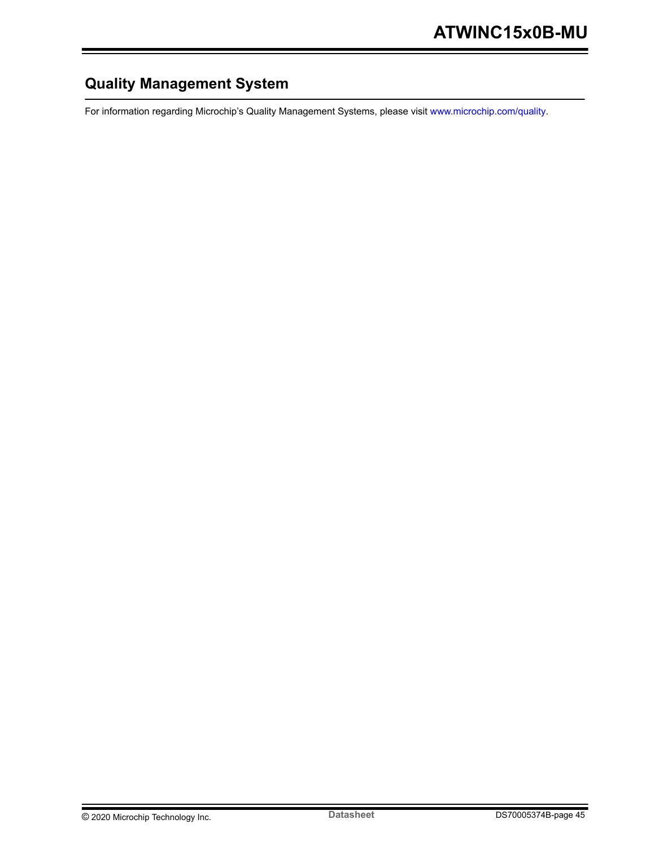# <span id="page-44-0"></span>**Quality Management System**

For information regarding Microchip's Quality Management Systems, please visit [www.microchip.com/quality](http://www.microchip.com/quality).